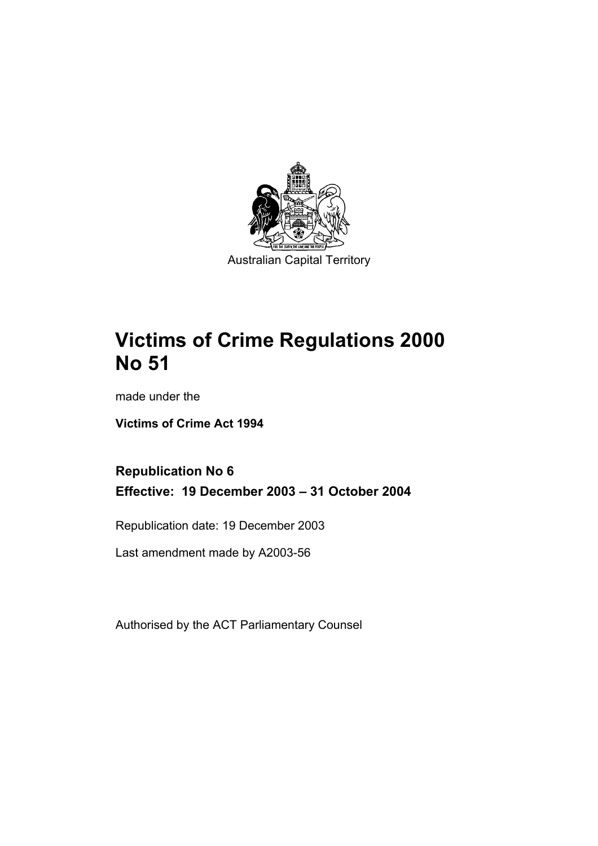

# **Victims of Crime Regulations 2000 No 51**

made under the

**Victims of Crime Act 1994** 

# **Republication No 6 Effective: 19 December 2003 – 31 October 2004**

Republication date: 19 December 2003

Last amendment made by A2003-56

Authorised by the ACT Parliamentary Counsel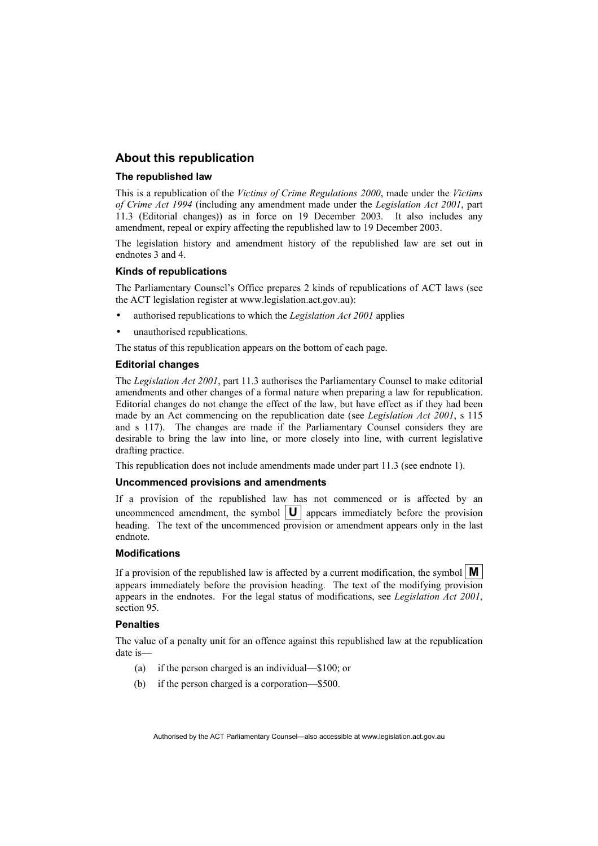#### **About this republication**

#### **The republished law**

This is a republication of the *Victims of Crime Regulations 2000*, made under the *Victims of Crime Act 1994* (including any amendment made under the *Legislation Act 2001*, part 11.3 (Editorial changes)) as in force on 19 December 2003*.* It also includes any amendment, repeal or expiry affecting the republished law to 19 December 2003.

The legislation history and amendment history of the republished law are set out in endnotes 3 and 4.

#### **Kinds of republications**

The Parliamentary Counsel's Office prepares 2 kinds of republications of ACT laws (see the ACT legislation register at www.legislation.act.gov.au):

- authorised republications to which the *Legislation Act 2001* applies
- unauthorised republications.

The status of this republication appears on the bottom of each page.

#### **Editorial changes**

The *Legislation Act 2001*, part 11.3 authorises the Parliamentary Counsel to make editorial amendments and other changes of a formal nature when preparing a law for republication. Editorial changes do not change the effect of the law, but have effect as if they had been made by an Act commencing on the republication date (see *Legislation Act 2001*, s 115 and s 117). The changes are made if the Parliamentary Counsel considers they are desirable to bring the law into line, or more closely into line, with current legislative drafting practice.

This republication does not include amendments made under part 11.3 (see endnote 1).

#### **Uncommenced provisions and amendments**

If a provision of the republished law has not commenced or is affected by an uncommenced amendment, the symbol  $|\mathbf{U}|$  appears immediately before the provision heading. The text of the uncommenced provision or amendment appears only in the last endnote.

#### **Modifications**

If a provision of the republished law is affected by a current modification, the symbol  $\mathbf{M}$ appears immediately before the provision heading. The text of the modifying provision appears in the endnotes. For the legal status of modifications, see *Legislation Act 2001*, section 95.

#### **Penalties**

The value of a penalty unit for an offence against this republished law at the republication date is—

- (a) if the person charged is an individual—\$100; or
- (b) if the person charged is a corporation—\$500.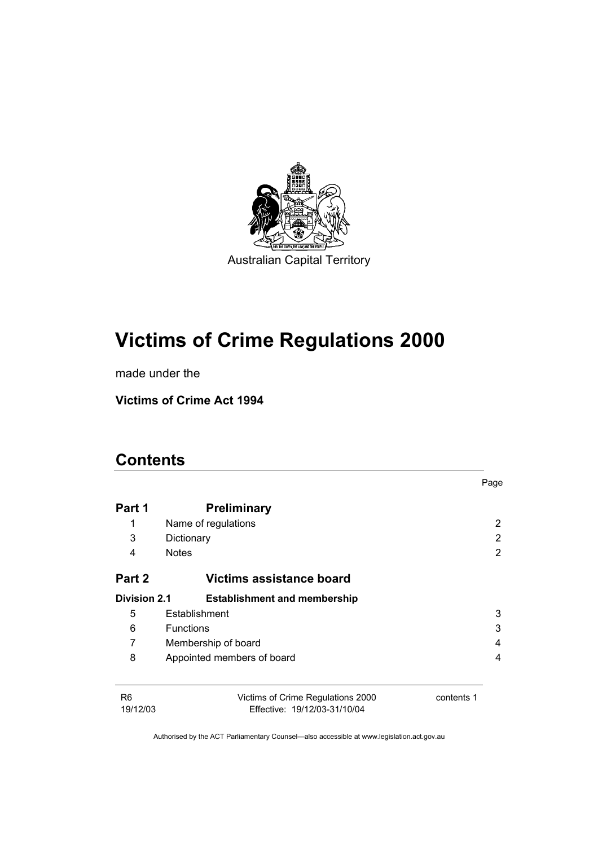

# **Victims of Crime Regulations 2000**

made under the

**Victims of Crime Act 1994** 

# **Contents**

|                            |                                                                   | Page       |
|----------------------------|-------------------------------------------------------------------|------------|
| Part 1                     | <b>Preliminary</b>                                                |            |
| 1                          | Name of regulations                                               | 2          |
| 3                          | Dictionary                                                        | 2          |
| 4                          | <b>Notes</b>                                                      | 2          |
| Part 2                     | Victims assistance board                                          |            |
| Division 2.1               | <b>Establishment and membership</b>                               |            |
| 5                          | Establishment                                                     | 3          |
| 6                          | <b>Functions</b>                                                  | 3          |
| 7                          | Membership of board<br>4                                          |            |
| 8                          | Appointed members of board<br>4                                   |            |
|                            |                                                                   |            |
| R <sub>6</sub><br>19/12/03 | Victims of Crime Regulations 2000<br>Effective: 19/12/03-31/10/04 | contents 1 |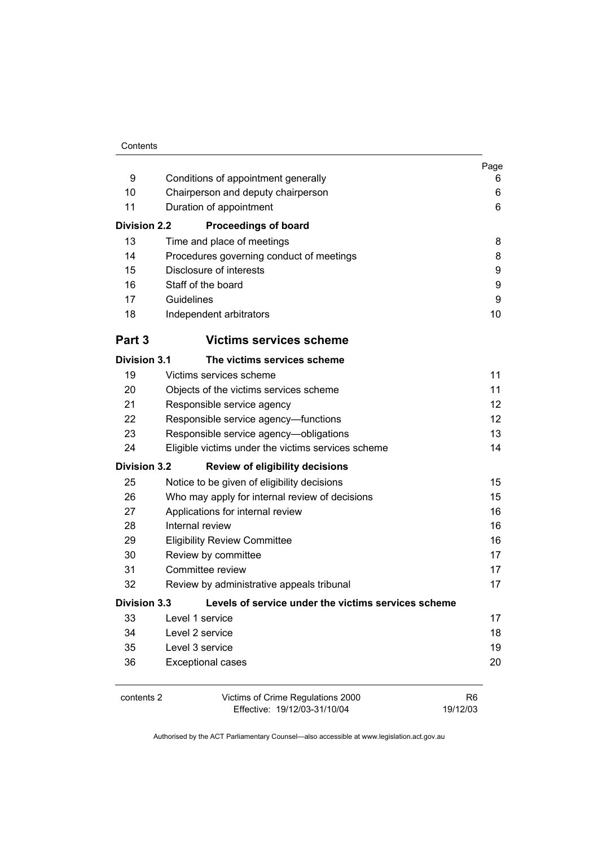|                     |                                                     | Page           |
|---------------------|-----------------------------------------------------|----------------|
| 9                   | Conditions of appointment generally                 | 6              |
| 10                  | Chairperson and deputy chairperson                  | 6              |
| 11                  | Duration of appointment                             | 6              |
| <b>Division 2.2</b> | <b>Proceedings of board</b>                         |                |
| 13                  | Time and place of meetings                          | 8              |
| 14                  | Procedures governing conduct of meetings            | 8              |
| 15                  | Disclosure of interests                             | 9              |
| 16                  | Staff of the board                                  | 9              |
| 17                  | Guidelines                                          | 9              |
| 18                  | Independent arbitrators                             | 10             |
| Part 3              | <b>Victims services scheme</b>                      |                |
| <b>Division 3.1</b> | The victims services scheme                         |                |
| 19                  | Victims services scheme                             | 11             |
| 20                  | Objects of the victims services scheme              | 11             |
| 21                  | Responsible service agency                          | 12             |
| 22                  | Responsible service agency-functions                | 12             |
| 23                  | Responsible service agency-obligations              | 13             |
| 24                  | Eligible victims under the victims services scheme  | 14             |
| <b>Division 3.2</b> | <b>Review of eligibility decisions</b>              |                |
| 25                  | Notice to be given of eligibility decisions         | 15             |
| 26                  | Who may apply for internal review of decisions      | 15             |
| 27                  | Applications for internal review                    | 16             |
| 28                  | Internal review                                     | 16             |
| 29                  | <b>Eligibility Review Committee</b>                 | 16             |
| 30                  | Review by committee                                 | 17             |
| 31                  | Committee review                                    | 17             |
| 32                  | Review by administrative appeals tribunal           | 17             |
| <b>Division 3.3</b> | Levels of service under the victims services scheme |                |
| 33                  | Level 1 service                                     | 17             |
| 34                  | Level 2 service                                     | 18             |
| 35                  | Level 3 service                                     | 19             |
| 36                  | <b>Exceptional cases</b>                            | 20             |
| contents 2          | Victims of Crime Regulations 2000                   | R <sub>6</sub> |
|                     | Effective: 19/12/03-31/10/04                        | 19/12/03       |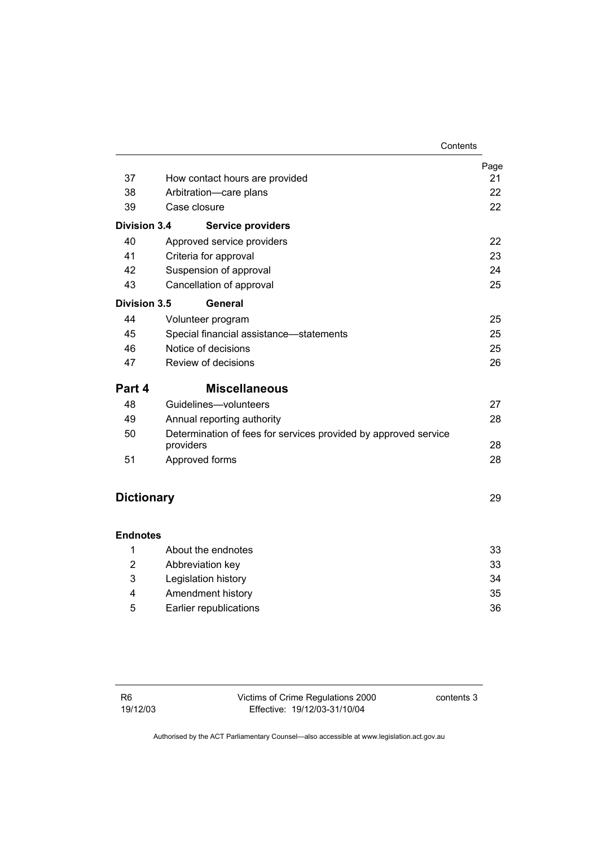|                     |                                                                              | Contents |
|---------------------|------------------------------------------------------------------------------|----------|
|                     |                                                                              | Page     |
| 37                  | How contact hours are provided                                               | 21       |
| 38                  | Arbitration-care plans                                                       | 22       |
| 39                  | Case closure                                                                 | 22       |
| <b>Division 3.4</b> | <b>Service providers</b>                                                     |          |
| 40                  | Approved service providers                                                   | 22       |
| 41                  | Criteria for approval                                                        | 23       |
| 42                  | Suspension of approval                                                       | 24       |
| 43                  | Cancellation of approval                                                     | 25       |
| Division 3.5        | General                                                                      |          |
| 44                  | Volunteer program                                                            | 25       |
| 45                  | Special financial assistance-statements                                      | 25       |
| 46                  | Notice of decisions                                                          | 25       |
| 47                  | Review of decisions                                                          | 26       |
| Part 4              | <b>Miscellaneous</b>                                                         |          |
| 48                  | Guidelines-volunteers                                                        | 27       |
| 49                  | Annual reporting authority                                                   | 28       |
| 50                  | Determination of fees for services provided by approved service<br>providers | 28       |
| 51                  | Approved forms                                                               | 28       |
|                     |                                                                              |          |
| <b>Dictionary</b>   |                                                                              | 29       |
| <b>Endnotes</b>     |                                                                              |          |
| 1                   | About the endnotes                                                           | 33       |

| 2 | Abbreviation key       | 33 |
|---|------------------------|----|
| 3 | Legislation history    | 34 |
| 4 | Amendment history      | 35 |
| 5 | Earlier republications | 36 |
|   |                        |    |

| R6       | Victims of Crime Regulations 2000 | contents 3 |
|----------|-----------------------------------|------------|
| 19/12/03 | Effective: 19/12/03-31/10/04      |            |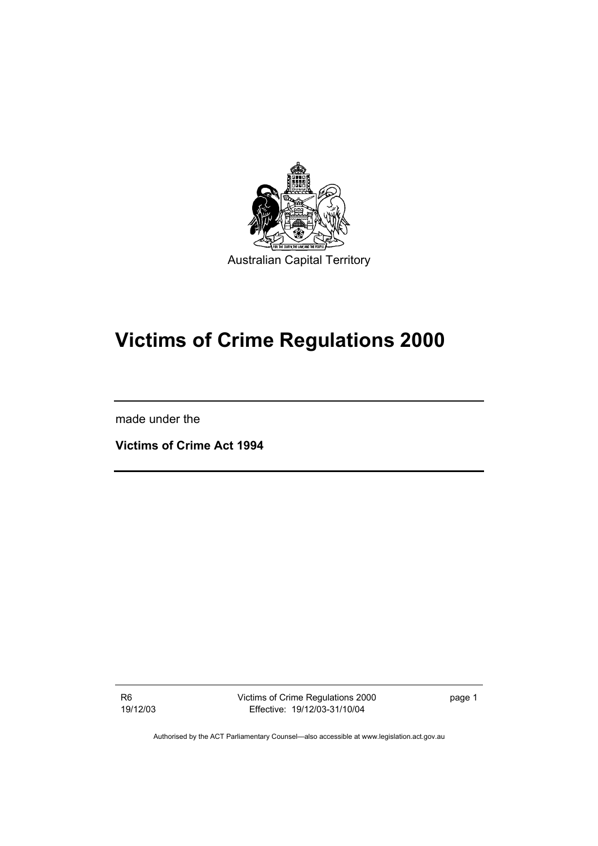

# **Victims of Crime Regulations 2000**

made under the

**Victims of Crime Act 1994** 

R6 19/12/03 Victims of Crime Regulations 2000 Effective: 19/12/03-31/10/04

page 1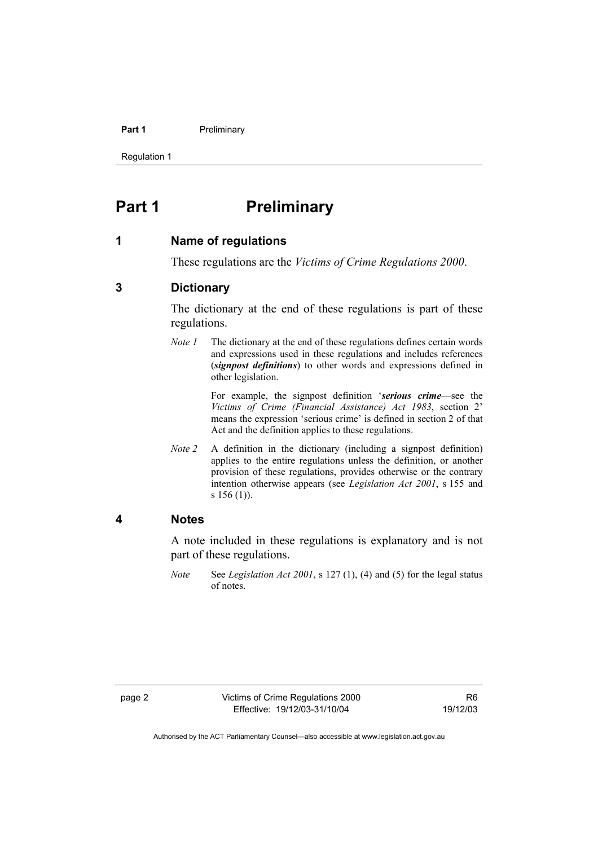#### **Part 1** Preliminary

Regulation 1

# **Part 1** Preliminary

#### **1 Name of regulations**

These regulations are the *Victims of Crime Regulations 2000*.

#### **3 Dictionary**

The dictionary at the end of these regulations is part of these regulations.

*Note 1* The dictionary at the end of these regulations defines certain words and expressions used in these regulations and includes references (*signpost definitions*) to other words and expressions defined in other legislation.

> For example, the signpost definition '*serious crime*—see the *Victims of Crime (Financial Assistance) Act 1983*, section 2' means the expression 'serious crime' is defined in section 2 of that Act and the definition applies to these regulations.

*Note 2* A definition in the dictionary (including a signpost definition) applies to the entire regulations unless the definition, or another provision of these regulations, provides otherwise or the contrary intention otherwise appears (see *Legislation Act 2001*, s 155 and s 156 (1)).

#### **4 Notes**

A note included in these regulations is explanatory and is not part of these regulations.

*Note* See *Legislation Act 2001*, s 127 (1), (4) and (5) for the legal status of notes.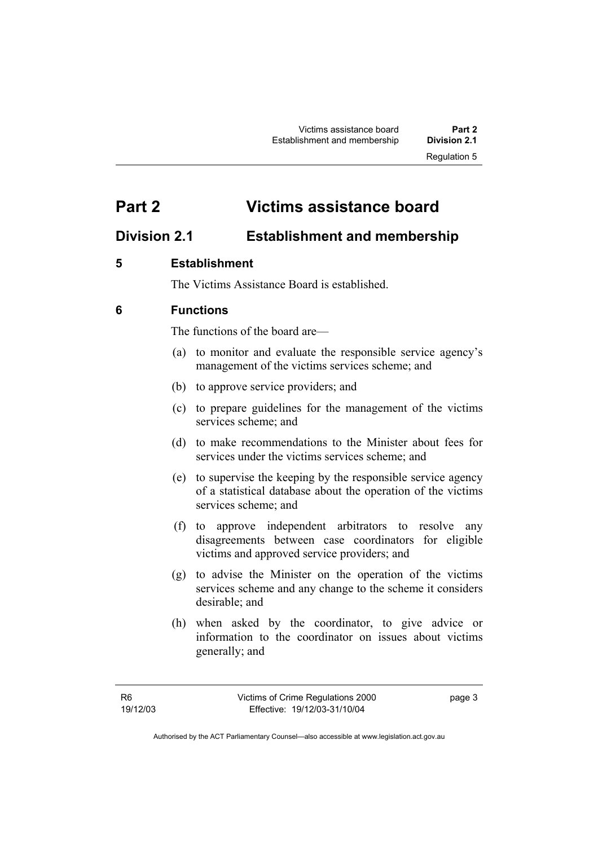# **Part 2 Victims assistance board**

# **Division 2.1 Establishment and membership**

## **5 Establishment**

The Victims Assistance Board is established.

## **6 Functions**

The functions of the board are—

- (a) to monitor and evaluate the responsible service agency's management of the victims services scheme; and
- (b) to approve service providers; and
- (c) to prepare guidelines for the management of the victims services scheme; and
- (d) to make recommendations to the Minister about fees for services under the victims services scheme; and
- (e) to supervise the keeping by the responsible service agency of a statistical database about the operation of the victims services scheme; and
- (f) to approve independent arbitrators to resolve any disagreements between case coordinators for eligible victims and approved service providers; and
- (g) to advise the Minister on the operation of the victims services scheme and any change to the scheme it considers desirable; and
- (h) when asked by the coordinator, to give advice or information to the coordinator on issues about victims generally; and

page 3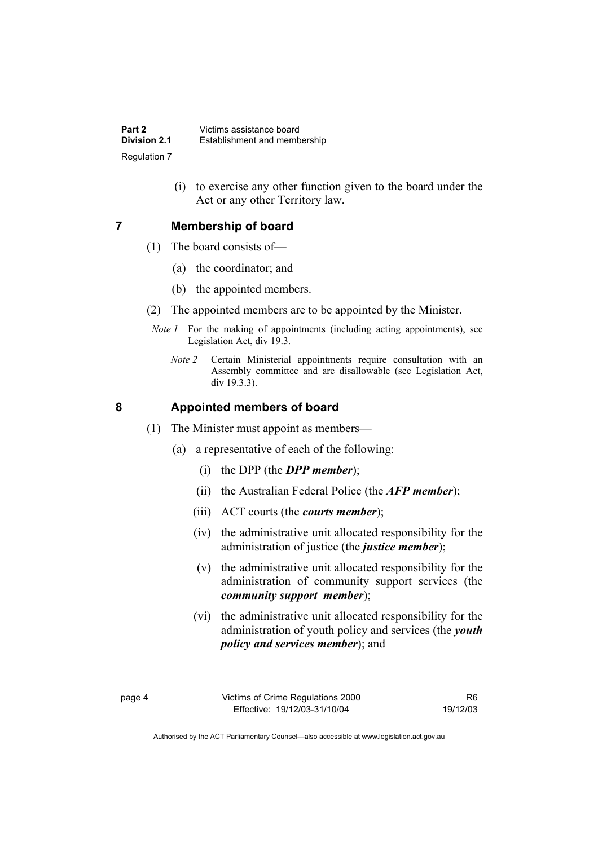(i) to exercise any other function given to the board under the Act or any other Territory law.

#### **7 Membership of board**

- (1) The board consists of—
	- (a) the coordinator; and
	- (b) the appointed members.
- (2) The appointed members are to be appointed by the Minister.
- *Note 1* For the making of appointments (including acting appointments), see Legislation Act, div 19.3.
	- *Note 2* Certain Ministerial appointments require consultation with an Assembly committee and are disallowable (see Legislation Act, div 19.3.3).

#### **8 Appointed members of board**

- (1) The Minister must appoint as members—
	- (a) a representative of each of the following:
		- (i) the DPP (the *DPP member*);
		- (ii) the Australian Federal Police (the *AFP member*);
		- (iii) ACT courts (the *courts member*);
		- (iv) the administrative unit allocated responsibility for the administration of justice (the *justice member*);
		- (v) the administrative unit allocated responsibility for the administration of community support services (the *community support member*);
		- (vi) the administrative unit allocated responsibility for the administration of youth policy and services (the *youth policy and services member*); and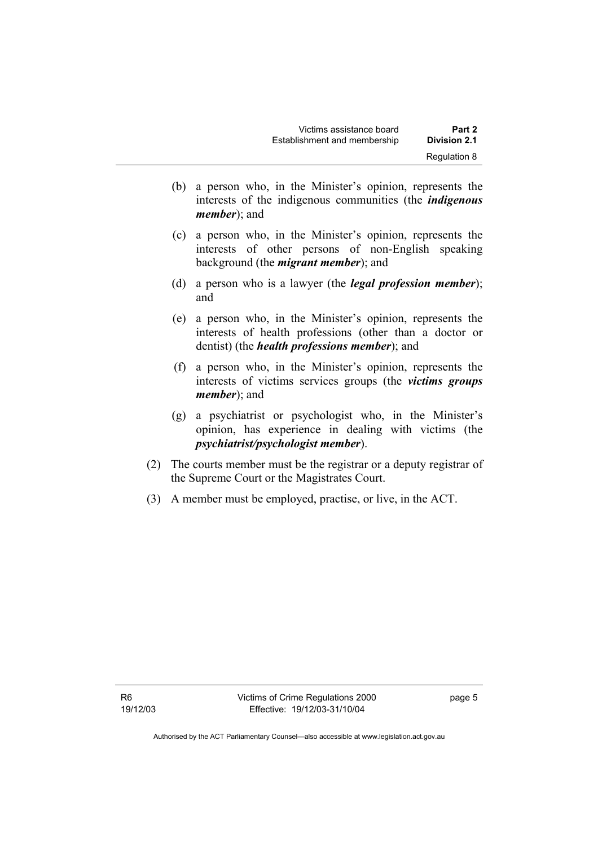- (b) a person who, in the Minister's opinion, represents the interests of the indigenous communities (the *indigenous member*); and
- (c) a person who, in the Minister's opinion, represents the interests of other persons of non-English speaking background (the *migrant member*); and
- (d) a person who is a lawyer (the *legal profession member*); and
- (e) a person who, in the Minister's opinion, represents the interests of health professions (other than a doctor or dentist) (the *health professions member*); and
- (f) a person who, in the Minister's opinion, represents the interests of victims services groups (the *victims groups member*); and
- (g) a psychiatrist or psychologist who, in the Minister's opinion, has experience in dealing with victims (the *psychiatrist/psychologist member*).
- (2) The courts member must be the registrar or a deputy registrar of the Supreme Court or the Magistrates Court.
- (3) A member must be employed, practise, or live, in the ACT.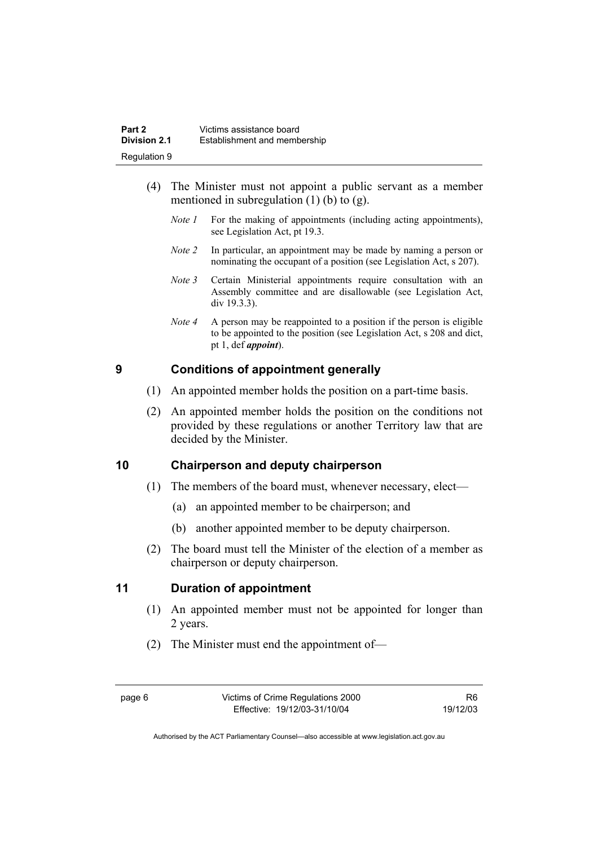- (4) The Minister must not appoint a public servant as a member mentioned in subregulation  $(1)$  (b) to  $(g)$ .
	- *Note 1* For the making of appointments (including acting appointments), see Legislation Act, pt 19.3.
	- *Note 2* In particular, an appointment may be made by naming a person or nominating the occupant of a position (see Legislation Act, s 207).
	- *Note 3* Certain Ministerial appointments require consultation with an Assembly committee and are disallowable (see Legislation Act, div 19.3.3).
	- *Note 4* A person may be reappointed to a position if the person is eligible to be appointed to the position (see Legislation Act, s 208 and dict, pt 1, def *appoint*).

## **9 Conditions of appointment generally**

- (1) An appointed member holds the position on a part-time basis.
- (2) An appointed member holds the position on the conditions not provided by these regulations or another Territory law that are decided by the Minister.

## **10 Chairperson and deputy chairperson**

- (1) The members of the board must, whenever necessary, elect—
	- (a) an appointed member to be chairperson; and
	- (b) another appointed member to be deputy chairperson.
- (2) The board must tell the Minister of the election of a member as chairperson or deputy chairperson.

## **11 Duration of appointment**

- (1) An appointed member must not be appointed for longer than 2 years.
- (2) The Minister must end the appointment of—

R6 19/12/03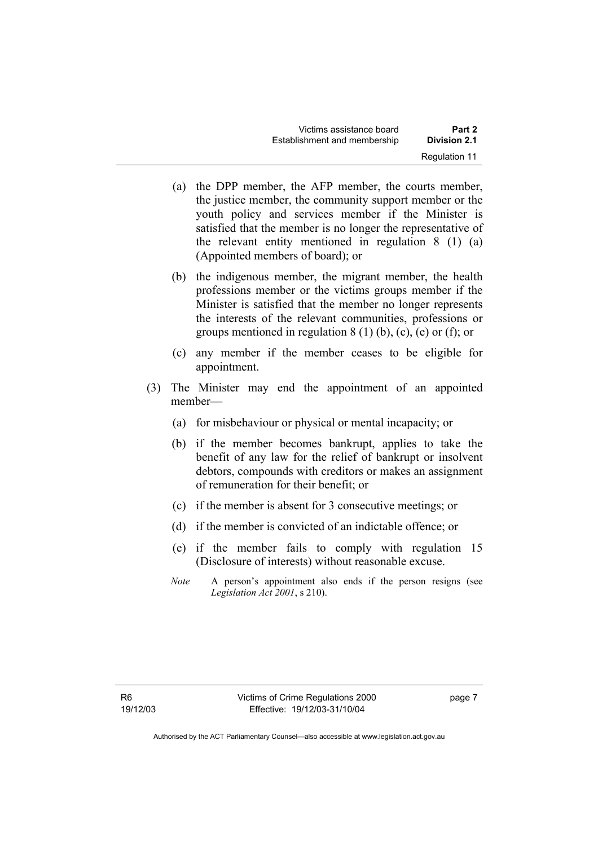- (a) the DPP member, the AFP member, the courts member, the justice member, the community support member or the youth policy and services member if the Minister is satisfied that the member is no longer the representative of the relevant entity mentioned in regulation 8 (1) (a) (Appointed members of board); or
- (b) the indigenous member, the migrant member, the health professions member or the victims groups member if the Minister is satisfied that the member no longer represents the interests of the relevant communities, professions or groups mentioned in regulation  $8(1)$  (b), (c), (e) or (f); or
- (c) any member if the member ceases to be eligible for appointment.
- (3) The Minister may end the appointment of an appointed member—
	- (a) for misbehaviour or physical or mental incapacity; or
	- (b) if the member becomes bankrupt, applies to take the benefit of any law for the relief of bankrupt or insolvent debtors, compounds with creditors or makes an assignment of remuneration for their benefit; or
	- (c) if the member is absent for 3 consecutive meetings; or
	- (d) if the member is convicted of an indictable offence; or
	- (e) if the member fails to comply with regulation 15 (Disclosure of interests) without reasonable excuse.
	- *Note* A person's appointment also ends if the person resigns (see *Legislation Act 2001*, s 210).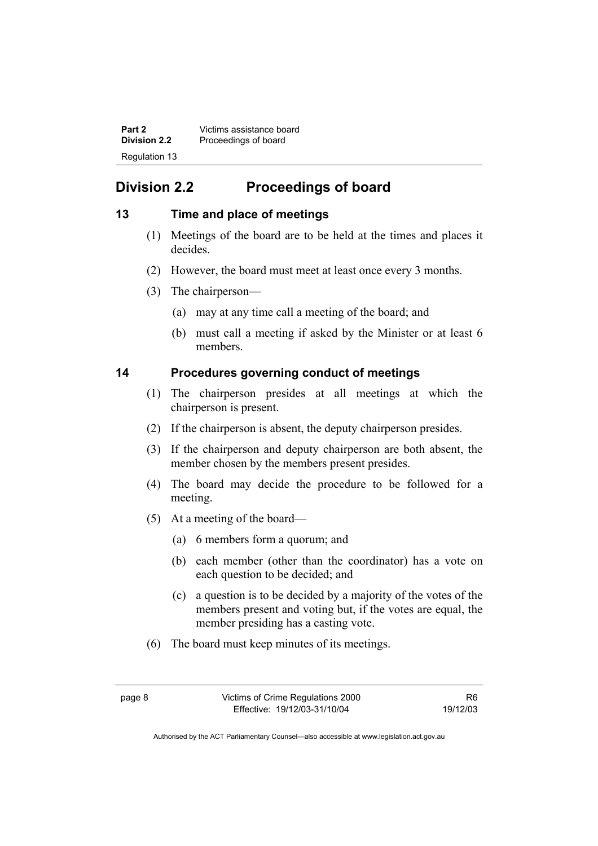**Part 2** Victims assistance board<br>**Division 2.2** Proceedings of board **Division 2.2** Proceedings of board Regulation 13

# **Division 2.2 Proceedings of board**

#### **13 Time and place of meetings**

- (1) Meetings of the board are to be held at the times and places it decides.
- (2) However, the board must meet at least once every 3 months.
- (3) The chairperson—
	- (a) may at any time call a meeting of the board; and
	- (b) must call a meeting if asked by the Minister or at least 6 members.

#### **14 Procedures governing conduct of meetings**

- (1) The chairperson presides at all meetings at which the chairperson is present.
- (2) If the chairperson is absent, the deputy chairperson presides.
- (3) If the chairperson and deputy chairperson are both absent, the member chosen by the members present presides.
- (4) The board may decide the procedure to be followed for a meeting.
- (5) At a meeting of the board—
	- (a) 6 members form a quorum; and
	- (b) each member (other than the coordinator) has a vote on each question to be decided; and
	- (c) a question is to be decided by a majority of the votes of the members present and voting but, if the votes are equal, the member presiding has a casting vote.
- (6) The board must keep minutes of its meetings.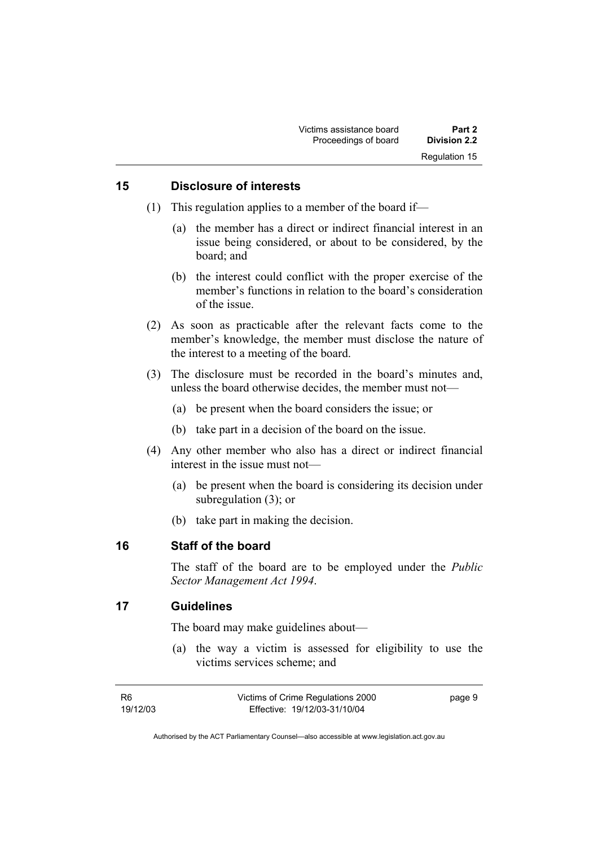#### **15 Disclosure of interests**

- (1) This regulation applies to a member of the board if—
	- (a) the member has a direct or indirect financial interest in an issue being considered, or about to be considered, by the board; and
	- (b) the interest could conflict with the proper exercise of the member's functions in relation to the board's consideration of the issue.
- (2) As soon as practicable after the relevant facts come to the member's knowledge, the member must disclose the nature of the interest to a meeting of the board.
- (3) The disclosure must be recorded in the board's minutes and, unless the board otherwise decides, the member must not—
	- (a) be present when the board considers the issue; or
	- (b) take part in a decision of the board on the issue.
- (4) Any other member who also has a direct or indirect financial interest in the issue must not—
	- (a) be present when the board is considering its decision under subregulation (3); or
	- (b) take part in making the decision.

#### **16 Staff of the board**

The staff of the board are to be employed under the *Public Sector Management Act 1994*.

#### **17 Guidelines**

The board may make guidelines about—

 (a) the way a victim is assessed for eligibility to use the victims services scheme; and

| R6       | Victims of Crime Regulations 2000 | page 9 |
|----------|-----------------------------------|--------|
| 19/12/03 | Effective: 19/12/03-31/10/04      |        |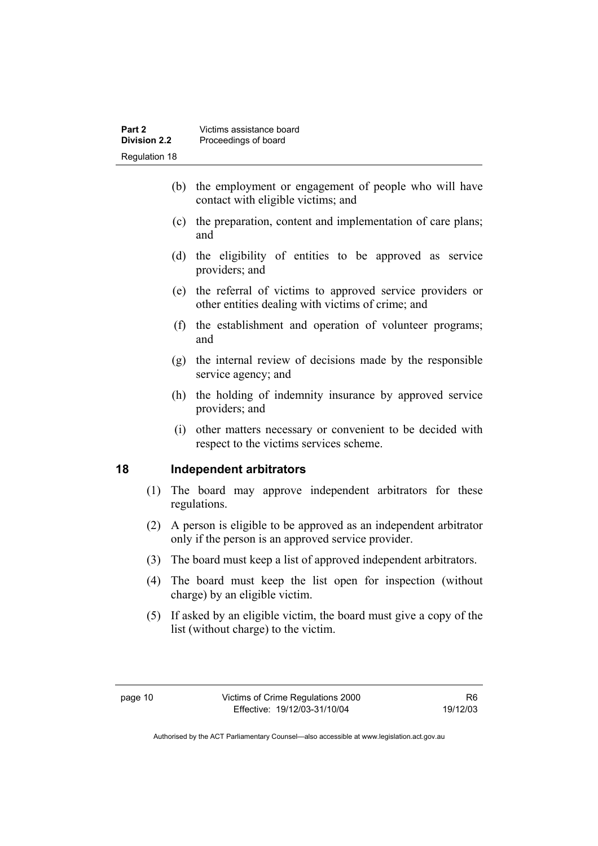- (b) the employment or engagement of people who will have contact with eligible victims; and
- (c) the preparation, content and implementation of care plans; and
- (d) the eligibility of entities to be approved as service providers; and
- (e) the referral of victims to approved service providers or other entities dealing with victims of crime; and
- (f) the establishment and operation of volunteer programs; and
- (g) the internal review of decisions made by the responsible service agency; and
- (h) the holding of indemnity insurance by approved service providers; and
- (i) other matters necessary or convenient to be decided with respect to the victims services scheme.

## **18 Independent arbitrators**

- (1) The board may approve independent arbitrators for these regulations.
- (2) A person is eligible to be approved as an independent arbitrator only if the person is an approved service provider.
- (3) The board must keep a list of approved independent arbitrators.
- (4) The board must keep the list open for inspection (without charge) by an eligible victim.
- (5) If asked by an eligible victim, the board must give a copy of the list (without charge) to the victim.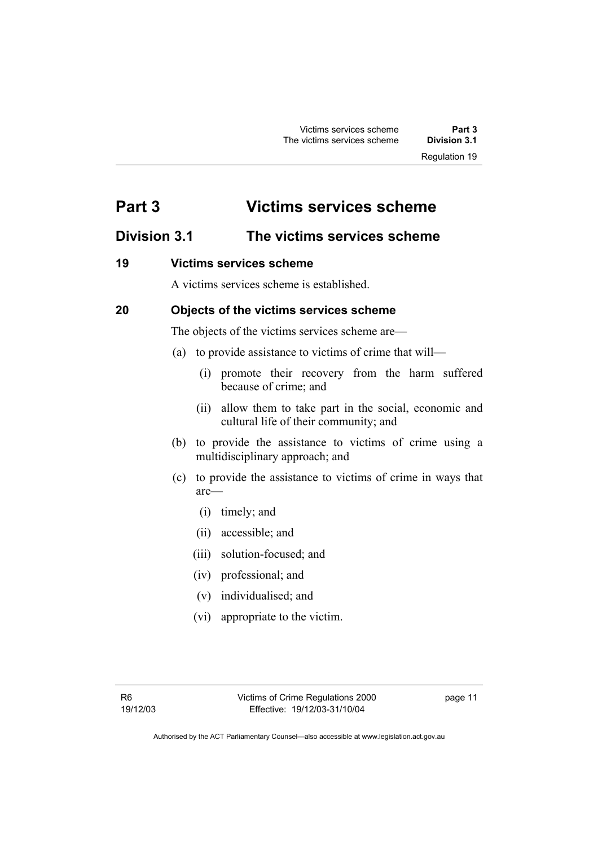# **Part 3 Victims services scheme**

# **Division 3.1 The victims services scheme**

## **19 Victims services scheme**

A victims services scheme is established.

## **20 Objects of the victims services scheme**

The objects of the victims services scheme are—

- (a) to provide assistance to victims of crime that will—
	- (i) promote their recovery from the harm suffered because of crime; and
	- (ii) allow them to take part in the social, economic and cultural life of their community; and
- (b) to provide the assistance to victims of crime using a multidisciplinary approach; and
- (c) to provide the assistance to victims of crime in ways that are—
	- (i) timely; and
	- (ii) accessible; and
	- (iii) solution-focused; and
	- (iv) professional; and
	- (v) individualised; and
	- (vi) appropriate to the victim.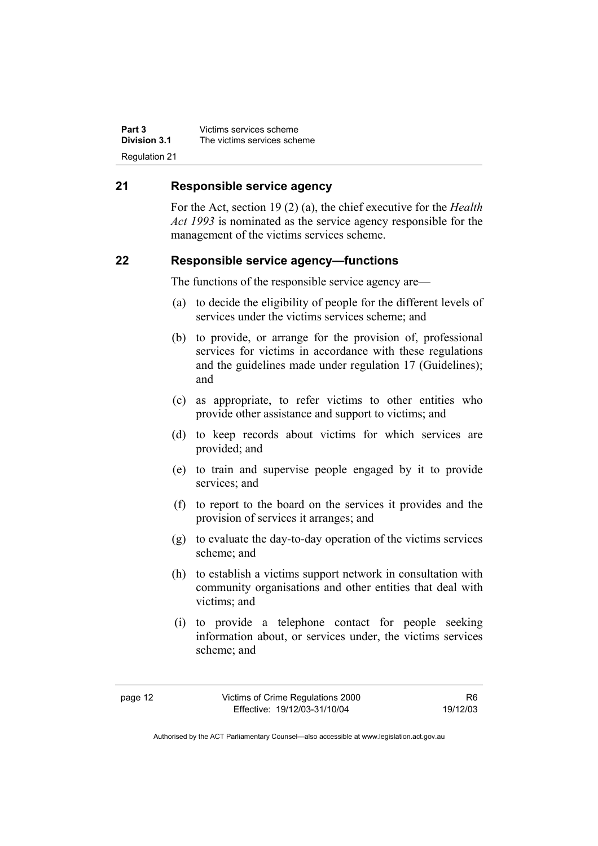**Part 3** Victims services scheme<br>**Division 3.1** The victims services sche **Division 3.1** The victims services scheme Regulation 21

#### **21 Responsible service agency**

For the Act, section 19 (2) (a), the chief executive for the *Health Act 1993* is nominated as the service agency responsible for the management of the victims services scheme.

#### **22 Responsible service agency—functions**

The functions of the responsible service agency are—

- (a) to decide the eligibility of people for the different levels of services under the victims services scheme; and
- (b) to provide, or arrange for the provision of, professional services for victims in accordance with these regulations and the guidelines made under regulation 17 (Guidelines); and
- (c) as appropriate, to refer victims to other entities who provide other assistance and support to victims; and
- (d) to keep records about victims for which services are provided; and
- (e) to train and supervise people engaged by it to provide services; and
- (f) to report to the board on the services it provides and the provision of services it arranges; and
- (g) to evaluate the day-to-day operation of the victims services scheme; and
- (h) to establish a victims support network in consultation with community organisations and other entities that deal with victims; and
- (i) to provide a telephone contact for people seeking information about, or services under, the victims services scheme; and

R6 19/12/03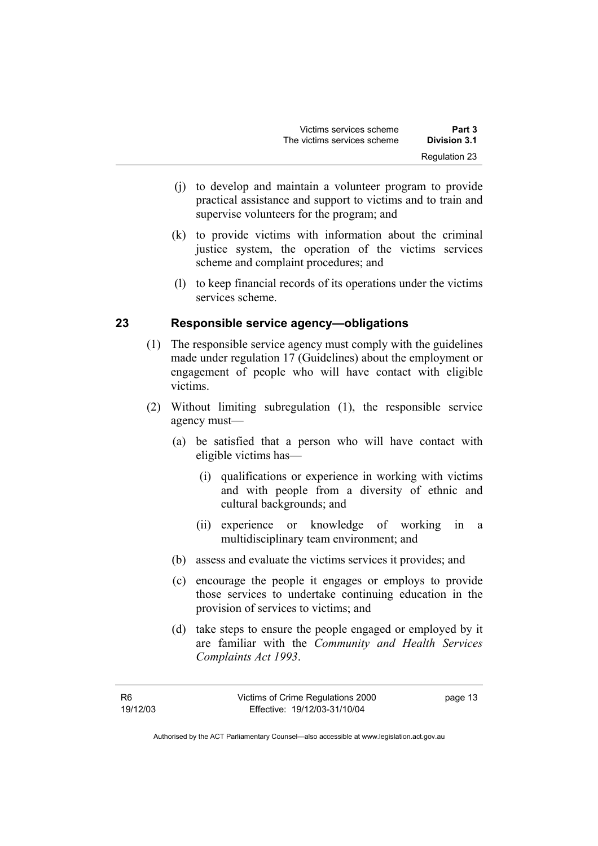- (j) to develop and maintain a volunteer program to provide practical assistance and support to victims and to train and supervise volunteers for the program; and
- (k) to provide victims with information about the criminal justice system, the operation of the victims services scheme and complaint procedures; and
- (l) to keep financial records of its operations under the victims services scheme.

#### **23 Responsible service agency—obligations**

- (1) The responsible service agency must comply with the guidelines made under regulation 17 (Guidelines) about the employment or engagement of people who will have contact with eligible victims.
- (2) Without limiting subregulation (1), the responsible service agency must—
	- (a) be satisfied that a person who will have contact with eligible victims has—
		- (i) qualifications or experience in working with victims and with people from a diversity of ethnic and cultural backgrounds; and
		- (ii) experience or knowledge of working in a multidisciplinary team environment; and
	- (b) assess and evaluate the victims services it provides; and
	- (c) encourage the people it engages or employs to provide those services to undertake continuing education in the provision of services to victims; and
	- (d) take steps to ensure the people engaged or employed by it are familiar with the *Community and Health Services Complaints Act 1993*.

page 13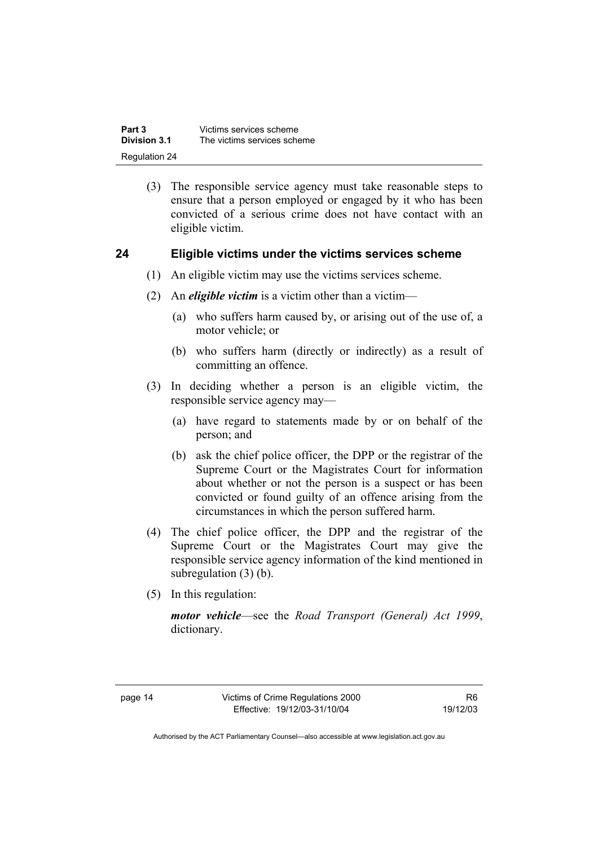| Part 3        | Victims services scheme     |
|---------------|-----------------------------|
| Division 3.1  | The victims services scheme |
| Regulation 24 |                             |

 (3) The responsible service agency must take reasonable steps to ensure that a person employed or engaged by it who has been convicted of a serious crime does not have contact with an eligible victim.

#### **24 Eligible victims under the victims services scheme**

- (1) An eligible victim may use the victims services scheme.
- (2) An *eligible victim* is a victim other than a victim—
	- (a) who suffers harm caused by, or arising out of the use of, a motor vehicle; or
	- (b) who suffers harm (directly or indirectly) as a result of committing an offence.
- (3) In deciding whether a person is an eligible victim, the responsible service agency may—
	- (a) have regard to statements made by or on behalf of the person; and
	- (b) ask the chief police officer, the DPP or the registrar of the Supreme Court or the Magistrates Court for information about whether or not the person is a suspect or has been convicted or found guilty of an offence arising from the circumstances in which the person suffered harm.
- (4) The chief police officer, the DPP and the registrar of the Supreme Court or the Magistrates Court may give the responsible service agency information of the kind mentioned in subregulation (3) (b).
- (5) In this regulation:

*motor vehicle*—see the *Road Transport (General) Act 1999*, dictionary.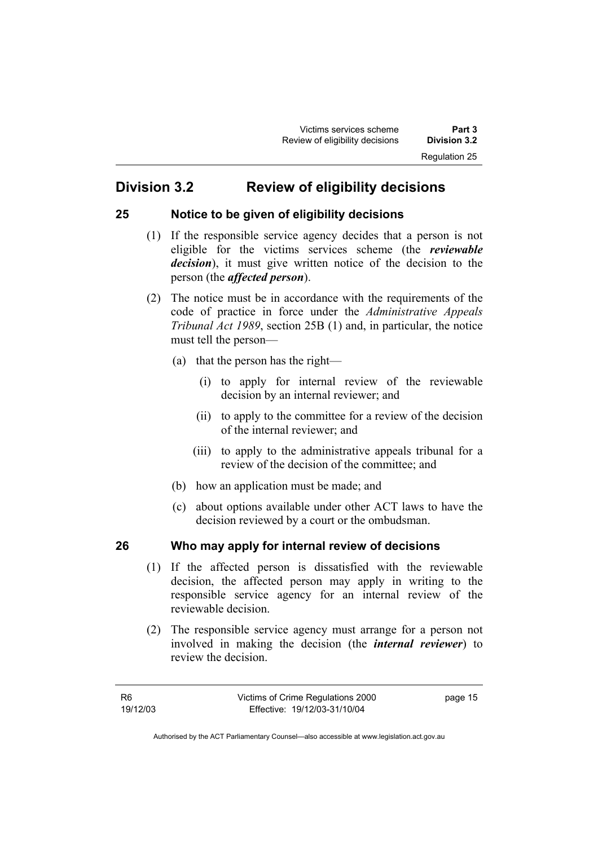# **Division 3.2 Review of eligibility decisions**

#### **25 Notice to be given of eligibility decisions**

- (1) If the responsible service agency decides that a person is not eligible for the victims services scheme (the *reviewable decision*), it must give written notice of the decision to the person (the *affected person*).
- (2) The notice must be in accordance with the requirements of the code of practice in force under the *Administrative Appeals Tribunal Act 1989*, section 25B (1) and, in particular, the notice must tell the person—
	- (a) that the person has the right—
		- (i) to apply for internal review of the reviewable decision by an internal reviewer; and
		- (ii) to apply to the committee for a review of the decision of the internal reviewer; and
		- (iii) to apply to the administrative appeals tribunal for a review of the decision of the committee; and
	- (b) how an application must be made; and
	- (c) about options available under other ACT laws to have the decision reviewed by a court or the ombudsman.

## **26 Who may apply for internal review of decisions**

- (1) If the affected person is dissatisfied with the reviewable decision, the affected person may apply in writing to the responsible service agency for an internal review of the reviewable decision.
- (2) The responsible service agency must arrange for a person not involved in making the decision (the *internal reviewer*) to review the decision.

R6 19/12/03 page 15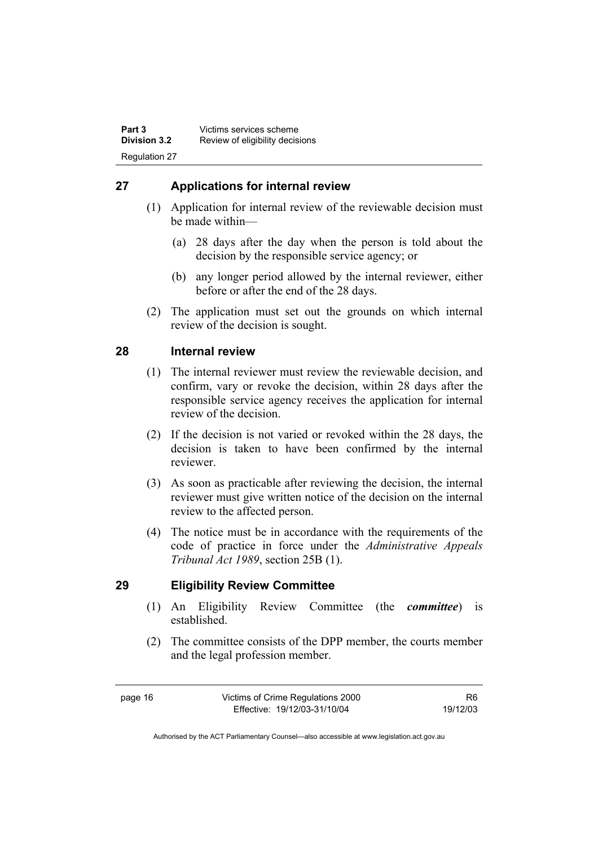## **27 Applications for internal review**

- (1) Application for internal review of the reviewable decision must be made within—
	- (a) 28 days after the day when the person is told about the decision by the responsible service agency; or
	- (b) any longer period allowed by the internal reviewer, either before or after the end of the 28 days.
- (2) The application must set out the grounds on which internal review of the decision is sought.

#### **28 Internal review**

- (1) The internal reviewer must review the reviewable decision, and confirm, vary or revoke the decision, within 28 days after the responsible service agency receives the application for internal review of the decision.
- (2) If the decision is not varied or revoked within the 28 days, the decision is taken to have been confirmed by the internal reviewer.
- (3) As soon as practicable after reviewing the decision, the internal reviewer must give written notice of the decision on the internal review to the affected person.
- (4) The notice must be in accordance with the requirements of the code of practice in force under the *Administrative Appeals Tribunal Act 1989*, section 25B (1).

#### **29 Eligibility Review Committee**

- (1) An Eligibility Review Committee (the *committee*) is established.
- (2) The committee consists of the DPP member, the courts member and the legal profession member.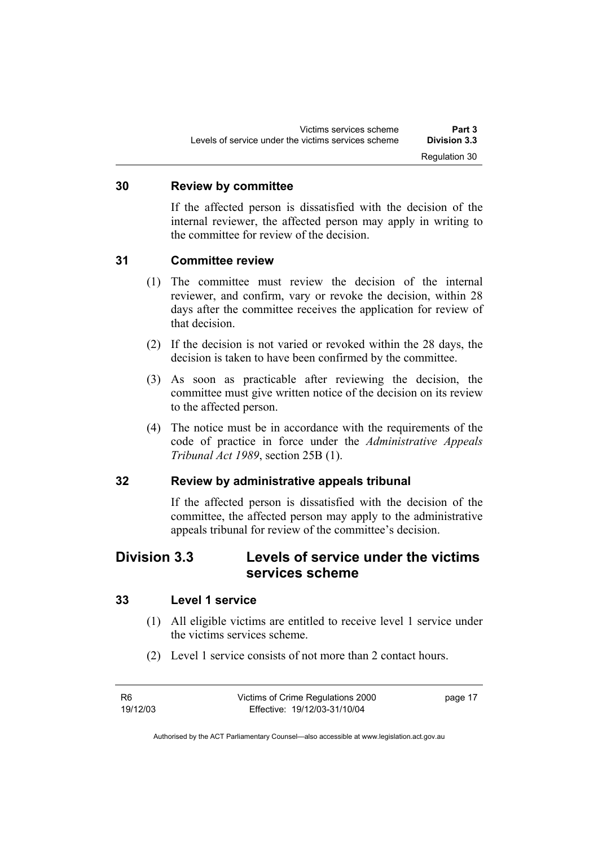#### **30 Review by committee**

If the affected person is dissatisfied with the decision of the internal reviewer, the affected person may apply in writing to the committee for review of the decision.

#### **31 Committee review**

- (1) The committee must review the decision of the internal reviewer, and confirm, vary or revoke the decision, within 28 days after the committee receives the application for review of that decision.
- (2) If the decision is not varied or revoked within the 28 days, the decision is taken to have been confirmed by the committee.
- (3) As soon as practicable after reviewing the decision, the committee must give written notice of the decision on its review to the affected person.
- (4) The notice must be in accordance with the requirements of the code of practice in force under the *Administrative Appeals Tribunal Act 1989*, section 25B (1).

#### **32 Review by administrative appeals tribunal**

If the affected person is dissatisfied with the decision of the committee, the affected person may apply to the administrative appeals tribunal for review of the committee's decision.

# **Division 3.3 Levels of service under the victims services scheme**

#### **33 Level 1 service**

- (1) All eligible victims are entitled to receive level 1 service under the victims services scheme.
- (2) Level 1 service consists of not more than 2 contact hours.

R6 19/12/03 Victims of Crime Regulations 2000 Effective: 19/12/03-31/10/04 page 17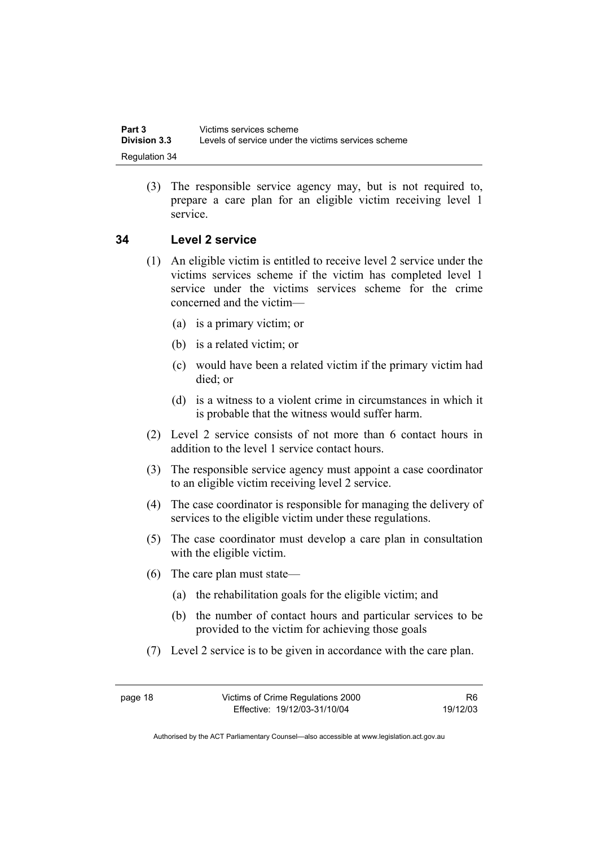(3) The responsible service agency may, but is not required to, prepare a care plan for an eligible victim receiving level 1 service.

#### **34 Level 2 service**

- (1) An eligible victim is entitled to receive level 2 service under the victims services scheme if the victim has completed level 1 service under the victims services scheme for the crime concerned and the victim—
	- (a) is a primary victim; or
	- (b) is a related victim; or
	- (c) would have been a related victim if the primary victim had died; or
	- (d) is a witness to a violent crime in circumstances in which it is probable that the witness would suffer harm.
- (2) Level 2 service consists of not more than 6 contact hours in addition to the level 1 service contact hours.
- (3) The responsible service agency must appoint a case coordinator to an eligible victim receiving level 2 service.
- (4) The case coordinator is responsible for managing the delivery of services to the eligible victim under these regulations.
- (5) The case coordinator must develop a care plan in consultation with the eligible victim.
- (6) The care plan must state—
	- (a) the rehabilitation goals for the eligible victim; and
	- (b) the number of contact hours and particular services to be provided to the victim for achieving those goals
- (7) Level 2 service is to be given in accordance with the care plan.

R6 19/12/03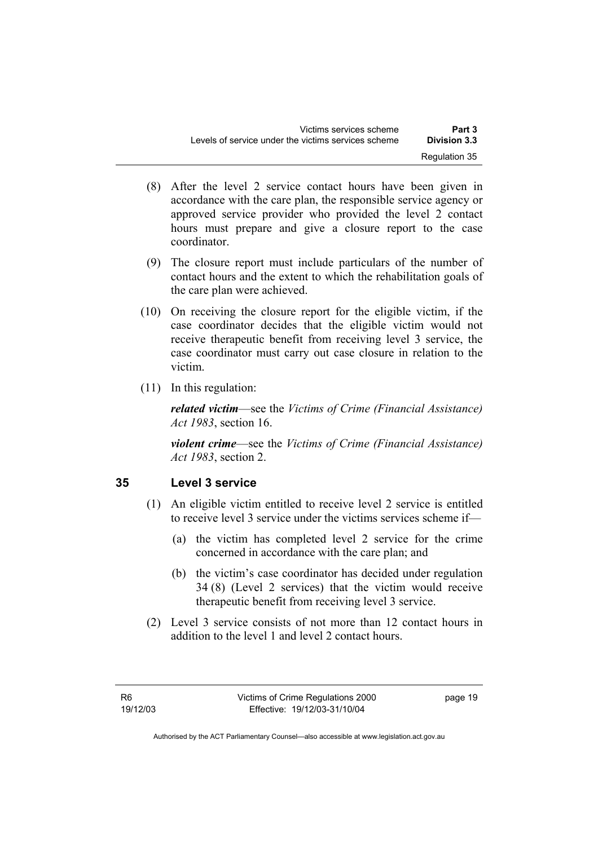- (8) After the level 2 service contact hours have been given in accordance with the care plan, the responsible service agency or approved service provider who provided the level 2 contact hours must prepare and give a closure report to the case coordinator.
- (9) The closure report must include particulars of the number of contact hours and the extent to which the rehabilitation goals of the care plan were achieved.
- (10) On receiving the closure report for the eligible victim, if the case coordinator decides that the eligible victim would not receive therapeutic benefit from receiving level 3 service, the case coordinator must carry out case closure in relation to the victim.
- (11) In this regulation:

*related victim*—see the *Victims of Crime (Financial Assistance) Act 1983*, section 16.

*violent crime*—see the *Victims of Crime (Financial Assistance) Act 1983*, section 2.

## **35 Level 3 service**

- (1) An eligible victim entitled to receive level 2 service is entitled to receive level 3 service under the victims services scheme if—
	- (a) the victim has completed level 2 service for the crime concerned in accordance with the care plan; and
	- (b) the victim's case coordinator has decided under regulation 34 (8) (Level 2 services) that the victim would receive therapeutic benefit from receiving level 3 service.
- (2) Level 3 service consists of not more than 12 contact hours in addition to the level 1 and level 2 contact hours.

page 19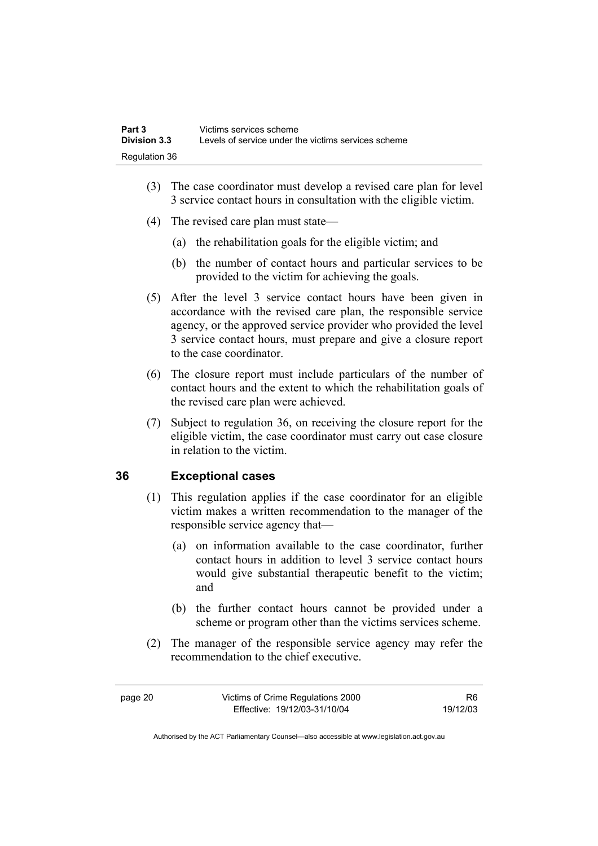- (3) The case coordinator must develop a revised care plan for level 3 service contact hours in consultation with the eligible victim.
- (4) The revised care plan must state—
	- (a) the rehabilitation goals for the eligible victim; and
	- (b) the number of contact hours and particular services to be provided to the victim for achieving the goals.
- (5) After the level 3 service contact hours have been given in accordance with the revised care plan, the responsible service agency, or the approved service provider who provided the level 3 service contact hours, must prepare and give a closure report to the case coordinator.
- (6) The closure report must include particulars of the number of contact hours and the extent to which the rehabilitation goals of the revised care plan were achieved.
- (7) Subject to regulation 36, on receiving the closure report for the eligible victim, the case coordinator must carry out case closure in relation to the victim.

## **36 Exceptional cases**

- (1) This regulation applies if the case coordinator for an eligible victim makes a written recommendation to the manager of the responsible service agency that—
	- (a) on information available to the case coordinator, further contact hours in addition to level 3 service contact hours would give substantial therapeutic benefit to the victim; and
	- (b) the further contact hours cannot be provided under a scheme or program other than the victims services scheme.
- (2) The manager of the responsible service agency may refer the recommendation to the chief executive.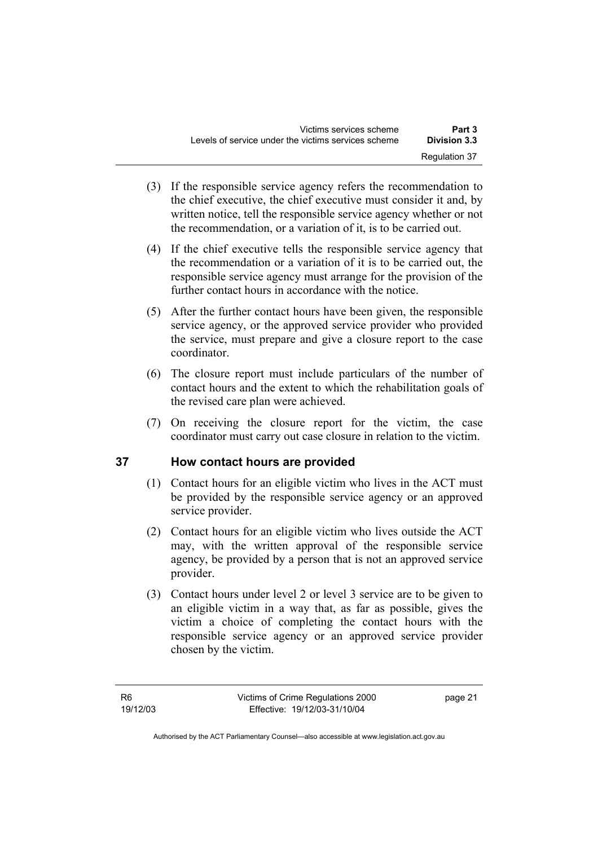- (3) If the responsible service agency refers the recommendation to the chief executive, the chief executive must consider it and, by written notice, tell the responsible service agency whether or not the recommendation, or a variation of it, is to be carried out.
- (4) If the chief executive tells the responsible service agency that the recommendation or a variation of it is to be carried out, the responsible service agency must arrange for the provision of the further contact hours in accordance with the notice.
- (5) After the further contact hours have been given, the responsible service agency, or the approved service provider who provided the service, must prepare and give a closure report to the case coordinator.
- (6) The closure report must include particulars of the number of contact hours and the extent to which the rehabilitation goals of the revised care plan were achieved.
- (7) On receiving the closure report for the victim, the case coordinator must carry out case closure in relation to the victim.

## **37 How contact hours are provided**

- (1) Contact hours for an eligible victim who lives in the ACT must be provided by the responsible service agency or an approved service provider.
- (2) Contact hours for an eligible victim who lives outside the ACT may, with the written approval of the responsible service agency, be provided by a person that is not an approved service provider.
- (3) Contact hours under level 2 or level 3 service are to be given to an eligible victim in a way that, as far as possible, gives the victim a choice of completing the contact hours with the responsible service agency or an approved service provider chosen by the victim.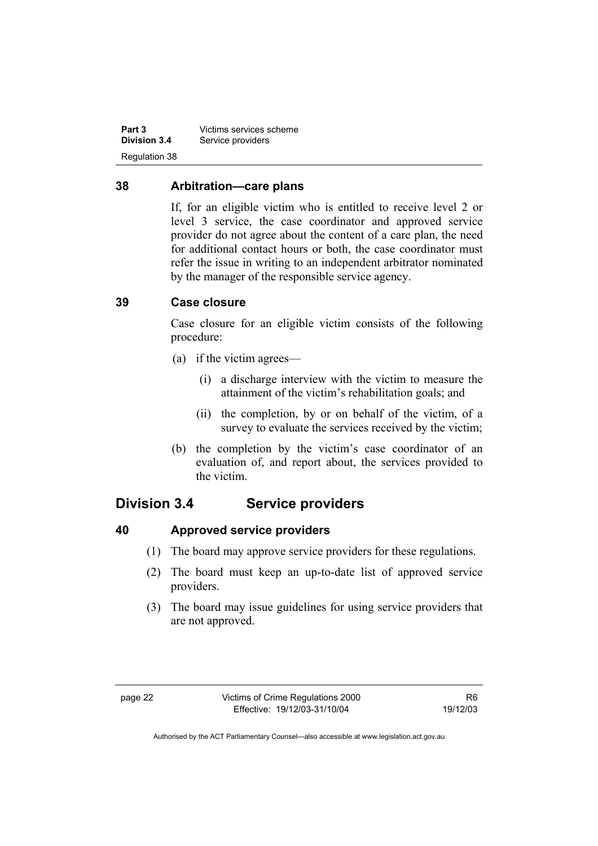**Part 3** Victims services scheme<br> **Division 3.4** Service providers Service providers Regulation 38

#### **38 Arbitration—care plans**

If, for an eligible victim who is entitled to receive level 2 or level 3 service, the case coordinator and approved service provider do not agree about the content of a care plan, the need for additional contact hours or both, the case coordinator must refer the issue in writing to an independent arbitrator nominated by the manager of the responsible service agency.

#### **39 Case closure**

Case closure for an eligible victim consists of the following procedure:

- (a) if the victim agrees—
	- (i) a discharge interview with the victim to measure the attainment of the victim's rehabilitation goals; and
	- (ii) the completion, by or on behalf of the victim, of a survey to evaluate the services received by the victim;
- (b) the completion by the victim's case coordinator of an evaluation of, and report about, the services provided to the victim.

# **Division 3.4 Service providers**

## **40 Approved service providers**

- (1) The board may approve service providers for these regulations.
- (2) The board must keep an up-to-date list of approved service providers.
- (3) The board may issue guidelines for using service providers that are not approved.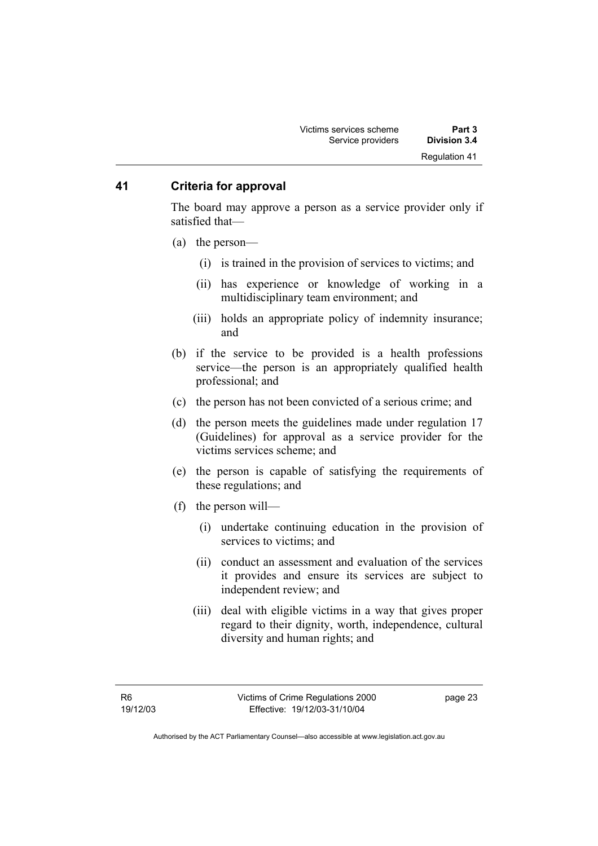#### **41 Criteria for approval**

The board may approve a person as a service provider only if satisfied that—

- (a) the person—
	- (i) is trained in the provision of services to victims; and
	- (ii) has experience or knowledge of working in a multidisciplinary team environment; and
	- (iii) holds an appropriate policy of indemnity insurance; and
- (b) if the service to be provided is a health professions service—the person is an appropriately qualified health professional; and
- (c) the person has not been convicted of a serious crime; and
- (d) the person meets the guidelines made under regulation 17 (Guidelines) for approval as a service provider for the victims services scheme; and
- (e) the person is capable of satisfying the requirements of these regulations; and
- (f) the person will—
	- (i) undertake continuing education in the provision of services to victims; and
	- (ii) conduct an assessment and evaluation of the services it provides and ensure its services are subject to independent review; and
	- (iii) deal with eligible victims in a way that gives proper regard to their dignity, worth, independence, cultural diversity and human rights; and

page 23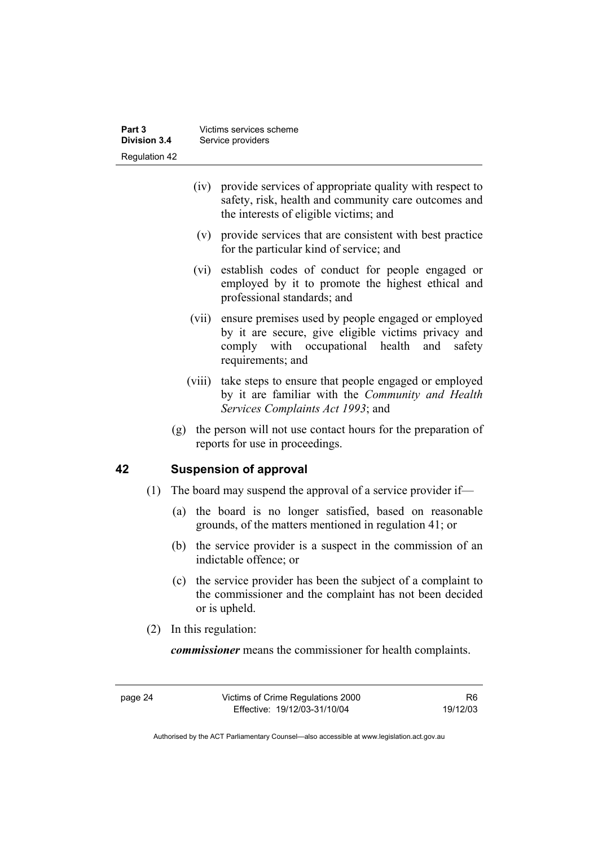- (iv) provide services of appropriate quality with respect to safety, risk, health and community care outcomes and the interests of eligible victims; and
- (v) provide services that are consistent with best practice for the particular kind of service; and
- (vi) establish codes of conduct for people engaged or employed by it to promote the highest ethical and professional standards; and
- (vii) ensure premises used by people engaged or employed by it are secure, give eligible victims privacy and comply with occupational health and safety requirements; and
- (viii) take steps to ensure that people engaged or employed by it are familiar with the *Community and Health Services Complaints Act 1993*; and
- (g) the person will not use contact hours for the preparation of reports for use in proceedings.

## **42 Suspension of approval**

- (1) The board may suspend the approval of a service provider if—
	- (a) the board is no longer satisfied, based on reasonable grounds, of the matters mentioned in regulation 41; or
	- (b) the service provider is a suspect in the commission of an indictable offence; or
	- (c) the service provider has been the subject of a complaint to the commissioner and the complaint has not been decided or is upheld.
- (2) In this regulation:

*commissioner* means the commissioner for health complaints.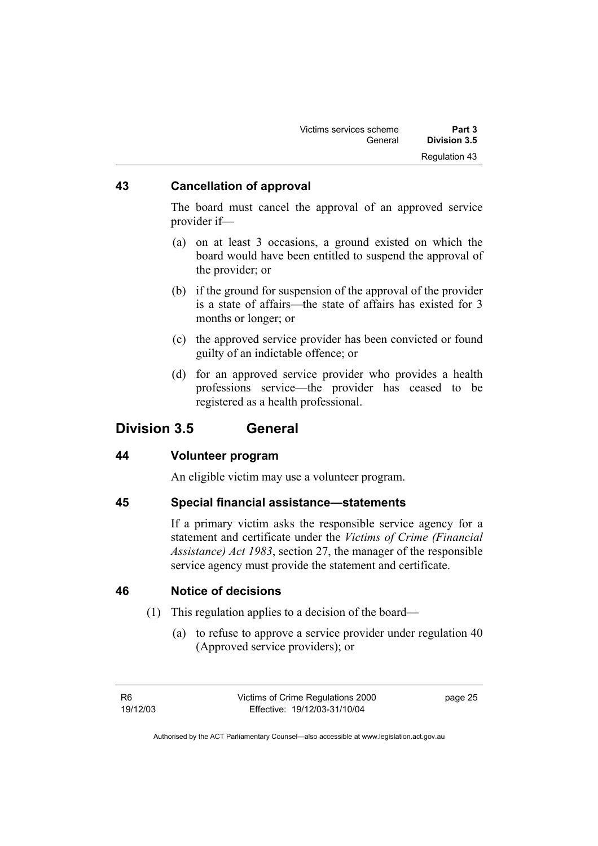| Victims services scheme | Part 3        |
|-------------------------|---------------|
| General                 | Division 3.5  |
|                         | Regulation 43 |

## **43 Cancellation of approval**

The board must cancel the approval of an approved service provider if—

- (a) on at least 3 occasions, a ground existed on which the board would have been entitled to suspend the approval of the provider; or
- (b) if the ground for suspension of the approval of the provider is a state of affairs—the state of affairs has existed for 3 months or longer; or
- (c) the approved service provider has been convicted or found guilty of an indictable offence; or
- (d) for an approved service provider who provides a health professions service—the provider has ceased to be registered as a health professional.

## **Division 3.5 General**

#### **44 Volunteer program**

An eligible victim may use a volunteer program.

#### **45 Special financial assistance—statements**

If a primary victim asks the responsible service agency for a statement and certificate under the *Victims of Crime (Financial Assistance) Act 1983*, section 27, the manager of the responsible service agency must provide the statement and certificate.

#### **46 Notice of decisions**

- (1) This regulation applies to a decision of the board—
	- (a) to refuse to approve a service provider under regulation 40 (Approved service providers); or

page 25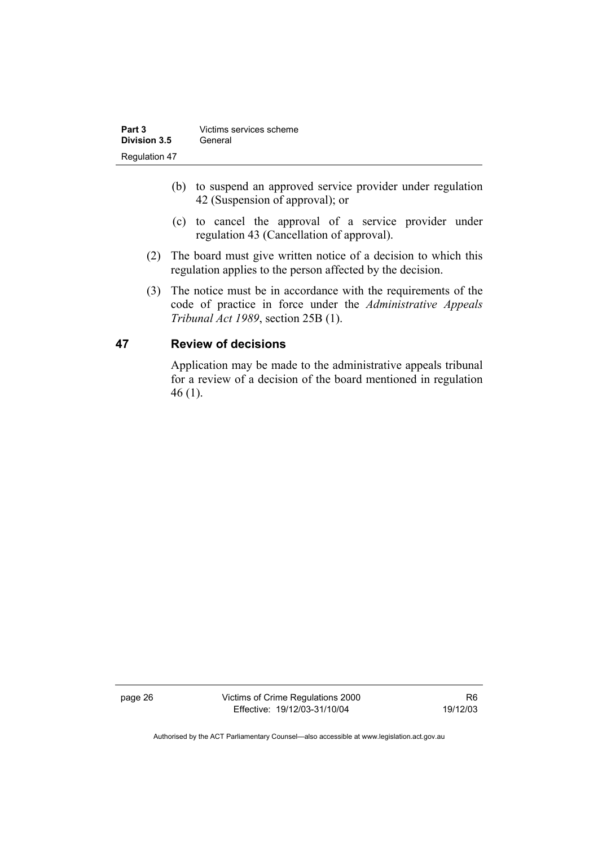| Part 3        | Victims services scheme |
|---------------|-------------------------|
| Division 3.5  | General                 |
| Regulation 47 |                         |

- (b) to suspend an approved service provider under regulation 42 (Suspension of approval); or
- (c) to cancel the approval of a service provider under regulation 43 (Cancellation of approval).
- (2) The board must give written notice of a decision to which this regulation applies to the person affected by the decision.
- (3) The notice must be in accordance with the requirements of the code of practice in force under the *Administrative Appeals Tribunal Act 1989*, section 25B (1).

## **47 Review of decisions**

Application may be made to the administrative appeals tribunal for a review of a decision of the board mentioned in regulation 46 (1).

page 26 Victims of Crime Regulations 2000 Effective: 19/12/03-31/10/04

R6 19/12/03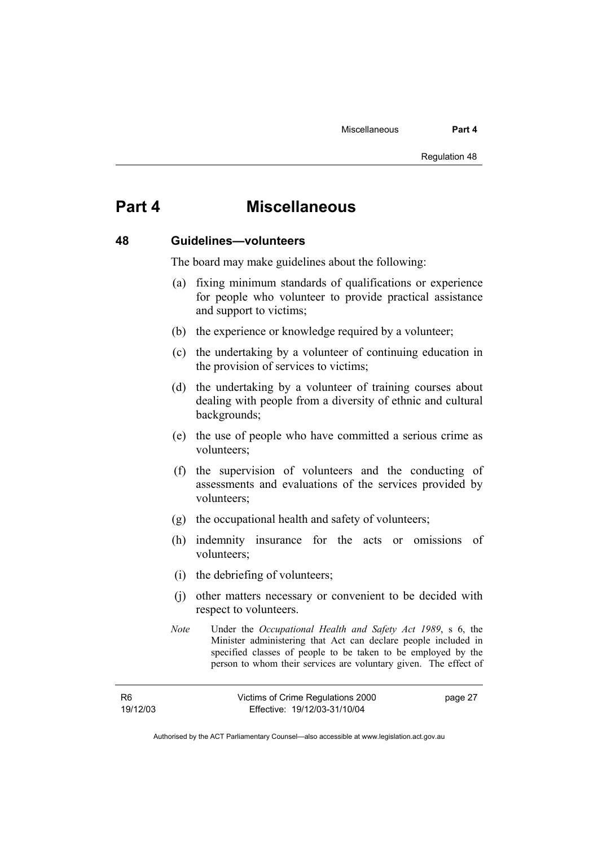# **Part 4 Miscellaneous**

#### **48 Guidelines—volunteers**

The board may make guidelines about the following:

- (a) fixing minimum standards of qualifications or experience for people who volunteer to provide practical assistance and support to victims;
- (b) the experience or knowledge required by a volunteer;
- (c) the undertaking by a volunteer of continuing education in the provision of services to victims;
- (d) the undertaking by a volunteer of training courses about dealing with people from a diversity of ethnic and cultural backgrounds;
- (e) the use of people who have committed a serious crime as volunteers;
- (f) the supervision of volunteers and the conducting of assessments and evaluations of the services provided by volunteers;
- (g) the occupational health and safety of volunteers;
- (h) indemnity insurance for the acts or omissions of volunteers;
- (i) the debriefing of volunteers;
- (j) other matters necessary or convenient to be decided with respect to volunteers.
- *Note* Under the *Occupational Health and Safety Act 1989*, s 6, the Minister administering that Act can declare people included in specified classes of people to be taken to be employed by the person to whom their services are voluntary given. The effect of

| R6       | Victims of Crime Regulations 2000 | page 27 |
|----------|-----------------------------------|---------|
| 19/12/03 | Effective: 19/12/03-31/10/04      |         |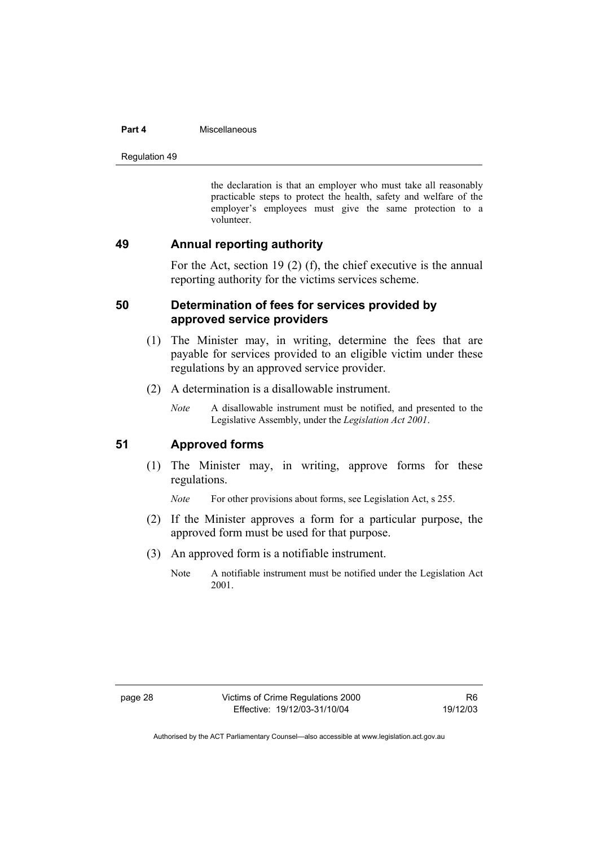#### **Part 4 Miscellaneous**

Regulation 49

the declaration is that an employer who must take all reasonably practicable steps to protect the health, safety and welfare of the employer's employees must give the same protection to a volunteer.

#### **49 Annual reporting authority**

For the Act, section 19 (2) (f), the chief executive is the annual reporting authority for the victims services scheme.

#### **50 Determination of fees for services provided by approved service providers**

- (1) The Minister may, in writing, determine the fees that are payable for services provided to an eligible victim under these regulations by an approved service provider.
- (2) A determination is a disallowable instrument.
	- *Note* A disallowable instrument must be notified, and presented to the Legislative Assembly, under the *Legislation Act 2001*.

#### **51 Approved forms**

 (1) The Minister may, in writing, approve forms for these regulations.

*Note* For other provisions about forms, see Legislation Act, s 255.

- (2) If the Minister approves a form for a particular purpose, the approved form must be used for that purpose.
- (3) An approved form is a notifiable instrument.
	- Note A notifiable instrument must be notified under the Legislation Act 2001.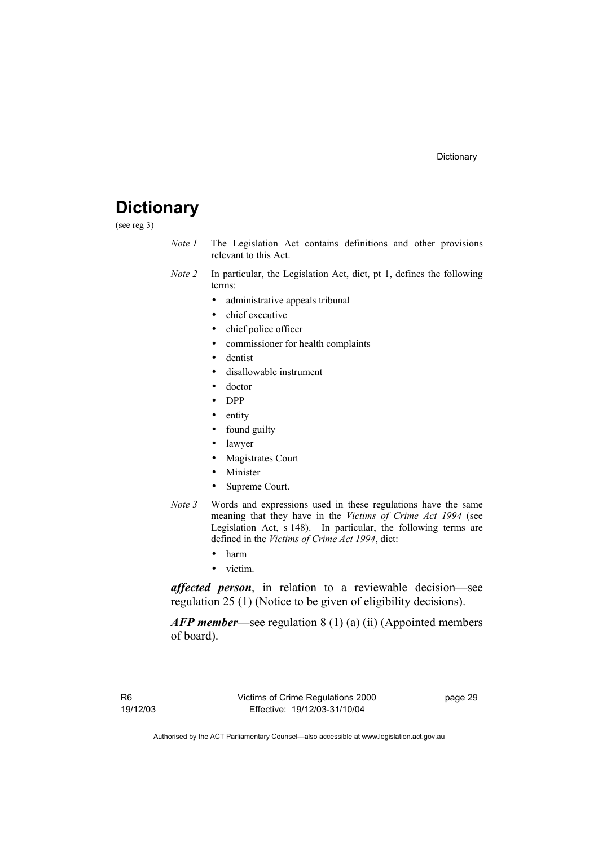# **Dictionary**

(see reg 3)

- *Note 1* The Legislation Act contains definitions and other provisions relevant to this Act.
- *Note 2* In particular, the Legislation Act, dict, pt 1, defines the following terms:
	- administrative appeals tribunal
	- chief executive
	- chief police officer
	- commissioner for health complaints
	- dentist
	- disallowable instrument
	- doctor
	- DPP
	- entity
	- found guilty
	- lawyer
	- Magistrates Court
	- Minister
	- Supreme Court.
- *Note* 3 Words and expressions used in these regulations have the same meaning that they have in the *Victims of Crime Act 1994* (see Legislation Act, s 148). In particular, the following terms are defined in the *Victims of Crime Act 1994*, dict:
	- harm
	- victim.

*affected person*, in relation to a reviewable decision—see regulation 25 (1) (Notice to be given of eligibility decisions).

*AFP member*—see regulation 8 (1) (a) (ii) (Appointed members of board).

page 29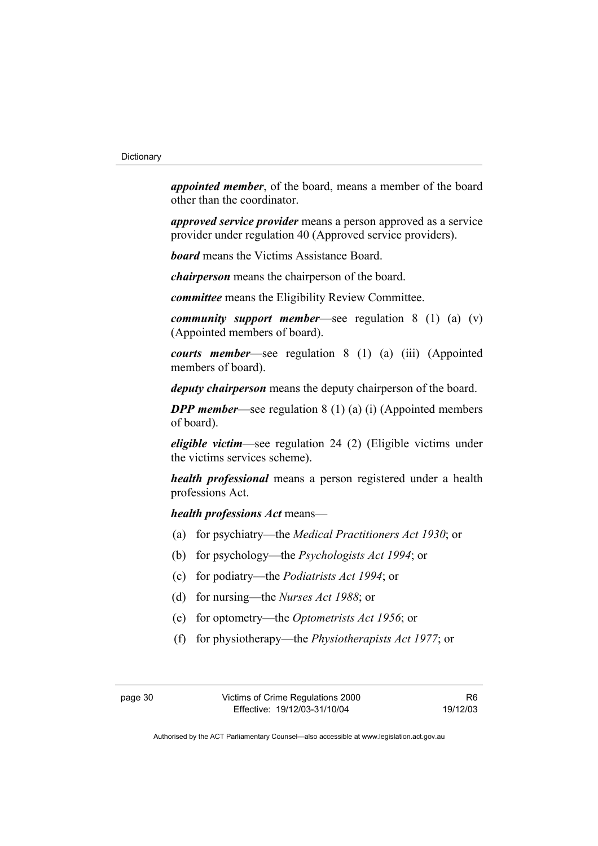*appointed member*, of the board, means a member of the board other than the coordinator.

*approved service provider* means a person approved as a service provider under regulation 40 (Approved service providers).

*board* means the Victims Assistance Board.

*chairperson* means the chairperson of the board.

*committee* means the Eligibility Review Committee.

*community support member*—see regulation 8 (1) (a) (v) (Appointed members of board).

*courts member*—see regulation 8 (1) (a) (iii) (Appointed members of board).

*deputy chairperson* means the deputy chairperson of the board.

*DPP member—see regulation* 8 (1) (a) (i) (Appointed members of board).

*eligible victim*—see regulation 24 (2) (Eligible victims under the victims services scheme).

*health professional* means a person registered under a health professions Act.

*health professions Act* means—

- (a) for psychiatry—the *Medical Practitioners Act 1930*; or
- (b) for psychology—the *Psychologists Act 1994*; or
- (c) for podiatry—the *Podiatrists Act 1994*; or
- (d) for nursing—the *Nurses Act 1988*; or
- (e) for optometry—the *Optometrists Act 1956*; or
- (f) for physiotherapy—the *Physiotherapists Act 1977*; or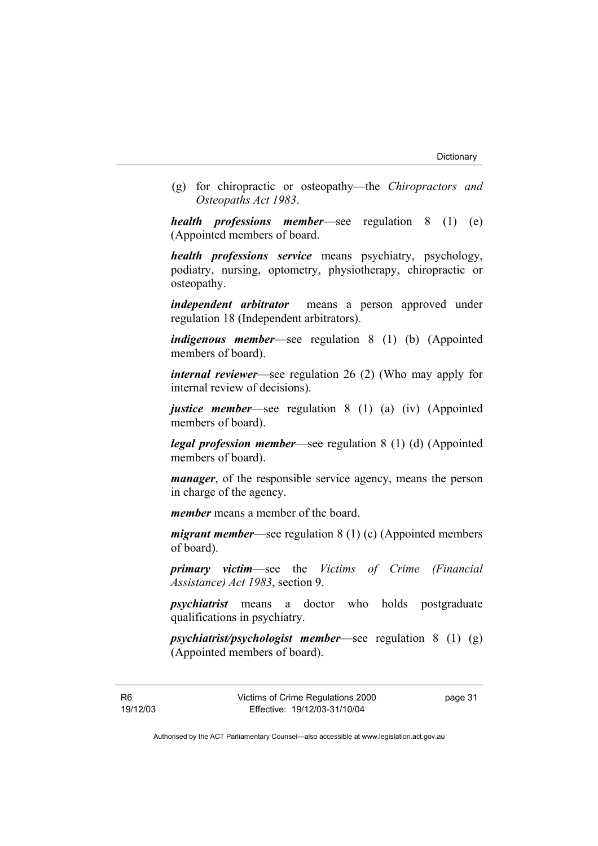(g) for chiropractic or osteopathy—the *Chiropractors and Osteopaths Act 1983*.

*health professions member*—see regulation 8 (1) (e) (Appointed members of board.

*health professions service* means psychiatry, psychology, podiatry, nursing, optometry, physiotherapy, chiropractic or osteopathy.

*independent arbitrator* means a person approved under regulation 18 (Independent arbitrators).

*indigenous member*—see regulation 8 (1) (b) (Appointed members of board).

*internal reviewer*—see regulation 26 (2) (Who may apply for internal review of decisions).

*justice member*—see regulation 8 (1) (a) (iv) (Appointed members of board).

*legal profession member*—see regulation 8 (1) (d) (Appointed members of board)

*manager*, of the responsible service agency, means the person in charge of the agency.

*member* means a member of the board.

*migrant member*—see regulation 8 (1) (c) (Appointed members of board).

*primary victim*—see the *Victims of Crime (Financial Assistance) Act 1983*, section 9.

*psychiatrist* means a doctor who holds postgraduate qualifications in psychiatry.

*psychiatrist/psychologist member*—see regulation 8 (1) (g) (Appointed members of board).

R6 19/12/03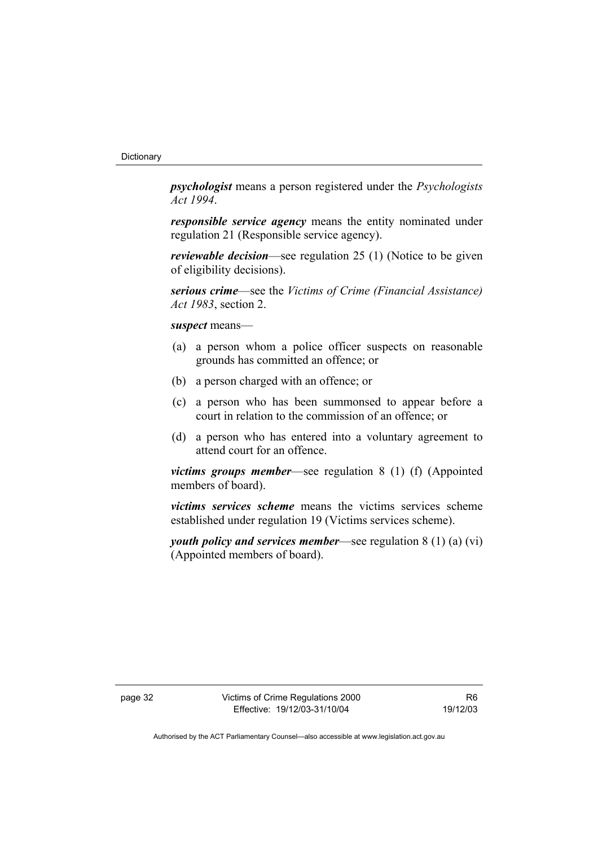*psychologist* means a person registered under the *Psychologists Act 1994*.

*responsible service agency* means the entity nominated under regulation 21 (Responsible service agency).

*reviewable decision*—see regulation 25 (1) (Notice to be given of eligibility decisions).

*serious crime*—see the *Victims of Crime (Financial Assistance) Act 1983*, section 2.

*suspect* means—

- (a) a person whom a police officer suspects on reasonable grounds has committed an offence; or
- (b) a person charged with an offence; or
- (c) a person who has been summonsed to appear before a court in relation to the commission of an offence; or
- (d) a person who has entered into a voluntary agreement to attend court for an offence.

*victims groups member*—see regulation 8 (1) (f) (Appointed members of board).

*victims services scheme* means the victims services scheme established under regulation 19 (Victims services scheme).

*youth policy and services member*—see regulation 8 (1) (a) (vi) (Appointed members of board).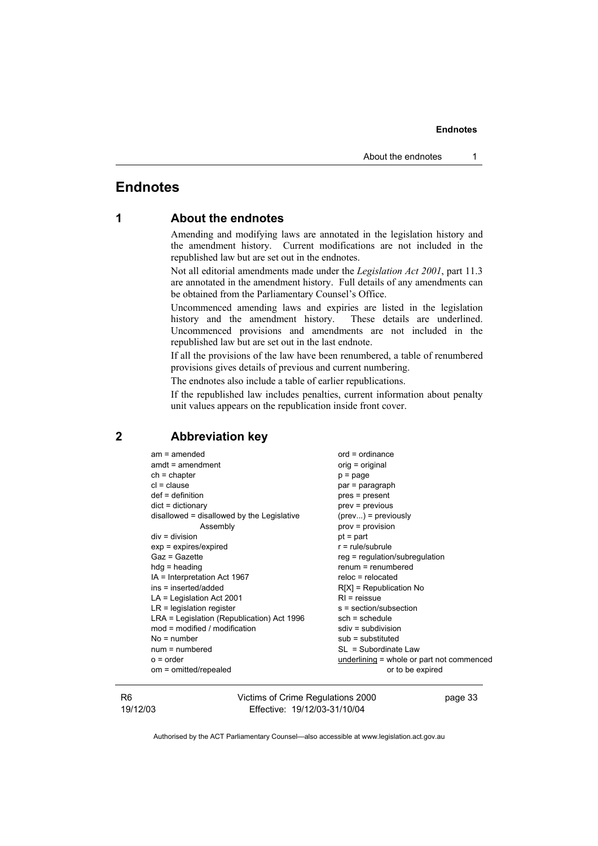## **Endnotes**

#### **1 About the endnotes**

Amending and modifying laws are annotated in the legislation history and the amendment history. Current modifications are not included in the republished law but are set out in the endnotes.

Not all editorial amendments made under the *Legislation Act 2001*, part 11.3 are annotated in the amendment history. Full details of any amendments can be obtained from the Parliamentary Counsel's Office.

Uncommenced amending laws and expiries are listed in the legislation history and the amendment history. These details are underlined. Uncommenced provisions and amendments are not included in the republished law but are set out in the last endnote.

If all the provisions of the law have been renumbered, a table of renumbered provisions gives details of previous and current numbering.

The endnotes also include a table of earlier republications.

If the republished law includes penalties, current information about penalty unit values appears on the republication inside front cover.

#### **2 Abbreviation key**

| $am = amended$                             | $ord = ordinance$                         |
|--------------------------------------------|-------------------------------------------|
| $amdt = amendment$                         | orig = original                           |
| $ch = chapter$                             | $p = page$                                |
| $cl = clause$                              | par = paragraph                           |
| $def = definition$                         | pres = present                            |
| $dict = dictionary$                        | prev = previous                           |
| disallowed = disallowed by the Legislative | $(\text{prev})$ = previously              |
| Assembly                                   | $prov = provision$                        |
| $div = division$                           | $pt = part$                               |
| $exp = expires/expired$                    | $r = rule/subrule$                        |
| Gaz = Gazette                              | $reg = regulation/subregulation$          |
| $hdg =$ heading                            | $remum = remumbered$                      |
| IA = Interpretation Act 1967               | $reloc = relocated$                       |
| ins = inserted/added                       | $R[X]$ = Republication No                 |
| $LA =$ Legislation Act 2001                | $RI =$ reissue                            |
| $LR =$ legislation register                | s = section/subsection                    |
| LRA = Legislation (Republication) Act 1996 | $sch = schedule$                          |
| $mod = modified / modified$                | $sdiv = subdivision$                      |
| $No = number$                              | $sub =$ substituted                       |
| $num = numbered$                           | SL = Subordinate Law                      |
| $o = order$                                | underlining = whole or part not commenced |
| om = omitted/repealed                      | or to be expired                          |

#### R6 19/12/03

Victims of Crime Regulations 2000 Effective: 19/12/03-31/10/04

page 33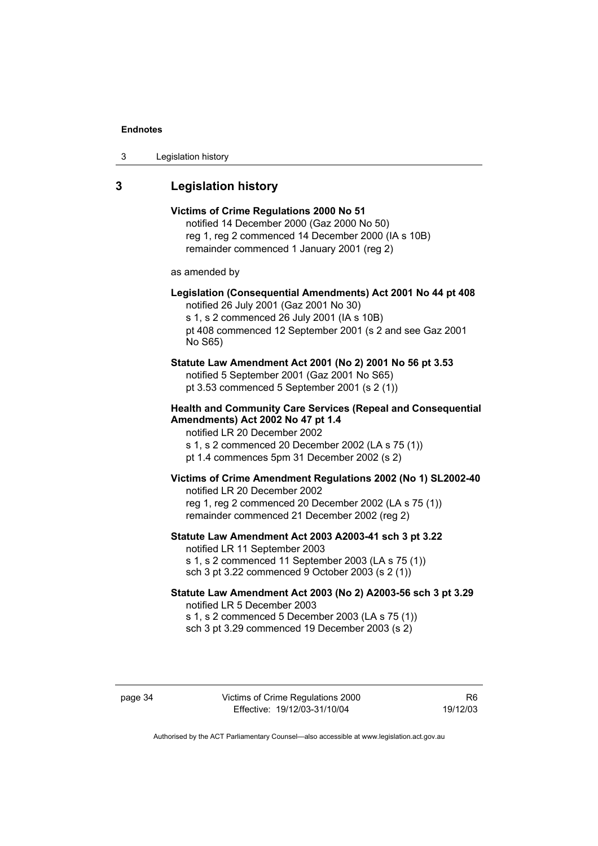| 3 | Legislation history |  |
|---|---------------------|--|
|---|---------------------|--|

# **3 Legislation history**

| Victims of Crime Regulations 2000 No 51<br>notified 14 December 2000 (Gaz 2000 No 50)<br>reg 1, reg 2 commenced 14 December 2000 (IA s 10B)<br>remainder commenced 1 January 2001 (reg 2)                                                    |
|----------------------------------------------------------------------------------------------------------------------------------------------------------------------------------------------------------------------------------------------|
| as amended by                                                                                                                                                                                                                                |
| Legislation (Consequential Amendments) Act 2001 No 44 pt 408<br>notified 26 July 2001 (Gaz 2001 No 30)<br>s 1, s 2 commenced 26 July 2001 (IA s 10B)<br>pt 408 commenced 12 September 2001 (s 2 and see Gaz 2001<br>No S65)                  |
| Statute Law Amendment Act 2001 (No 2) 2001 No 56 pt 3.53<br>notified 5 September 2001 (Gaz 2001 No S65)<br>pt 3.53 commenced 5 September 2001 (s 2 (1))                                                                                      |
| <b>Health and Community Care Services (Repeal and Consequential</b><br>Amendments) Act 2002 No 47 pt 1.4<br>notified LR 20 December 2002<br>s 1, s 2 commenced 20 December 2002 (LA s 75 (1))<br>pt 1.4 commences 5pm 31 December 2002 (s 2) |
| Victims of Crime Amendment Regulations 2002 (No 1) SL2002-40<br>notified LR 20 December 2002<br>reg 1, reg 2 commenced 20 December 2002 (LA s 75 (1))<br>remainder commenced 21 December 2002 (reg 2)                                        |
| Statute Law Amendment Act 2003 A2003-41 sch 3 pt 3.22<br>notified LR 11 September 2003<br>s 1, s 2 commenced 11 September 2003 (LA s 75 (1))<br>sch 3 pt 3.22 commenced 9 October 2003 (s 2 (1))                                             |
| Statute Law Amendment Act 2003 (No 2) A2003-56 sch 3 pt 3.29<br>notified LR 5 December 2003<br>s 1, s 2 commenced 5 December 2003 (LA s 75 (1))<br>sch 3 pt 3.29 commenced 19 December 2003 (s 2)                                            |

page 34 Victims of Crime Regulations 2000 Effective: 19/12/03-31/10/04

R6 19/12/03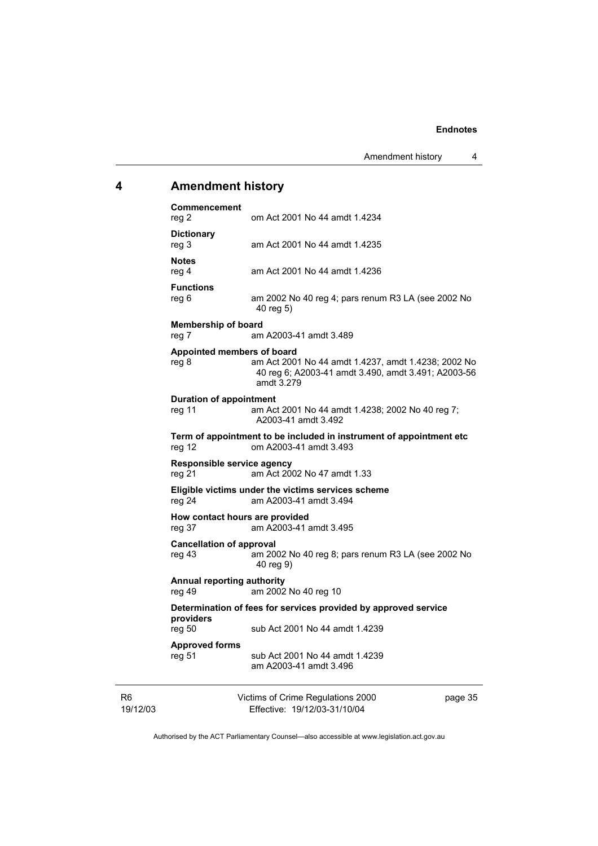# **4 Amendment history**

| Commencement<br>reg 2                       | om Act 2001 No 44 amdt 1.4234                                                                                            |         |
|---------------------------------------------|--------------------------------------------------------------------------------------------------------------------------|---------|
| <b>Dictionary</b><br>reg 3                  | am Act 2001 No 44 amdt 1.4235                                                                                            |         |
| <b>Notes</b><br>reg 4                       | am Act 2001 No 44 amdt 1.4236                                                                                            |         |
| <b>Functions</b><br>reg 6                   | am 2002 No 40 reg 4; pars renum R3 LA (see 2002 No<br>40 reg 5)                                                          |         |
| <b>Membership of board</b><br>reg 7         | am A2003-41 amdt 3.489                                                                                                   |         |
| Appointed members of board<br>reg 8         | am Act 2001 No 44 amdt 1.4237, amdt 1.4238; 2002 No<br>40 reg 6; A2003-41 amdt 3.490, amdt 3.491; A2003-56<br>amdt 3.279 |         |
| <b>Duration of appointment</b><br>reg 11    | am Act 2001 No 44 amdt 1.4238; 2002 No 40 reg 7;<br>A2003-41 amdt 3.492                                                  |         |
| reg 12                                      | Term of appointment to be included in instrument of appointment etc<br>om A2003-41 amdt 3.493                            |         |
| Responsible service agency<br>reg 21        | am Act 2002 No 47 amdt 1.33                                                                                              |         |
| reg 24                                      | Eligible victims under the victims services scheme<br>am A2003-41 amdt 3.494                                             |         |
| How contact hours are provided<br>reg 37    | am A2003-41 amdt 3.495                                                                                                   |         |
| <b>Cancellation of approval</b><br>reg 43   | am 2002 No 40 reg 8; pars renum R3 LA (see 2002 No<br>40 reg 9)                                                          |         |
| <b>Annual reporting authority</b><br>reg 49 | am 2002 No 40 reg 10                                                                                                     |         |
| providers                                   | Determination of fees for services provided by approved service                                                          |         |
| reg 50                                      | sub Act 2001 No 44 amdt 1.4239                                                                                           |         |
| <b>Approved forms</b><br>reg 51             | sub Act 2001 No 44 amdt 1.4239<br>am A2003-41 amdt 3.496                                                                 |         |
|                                             | Victims of Crime Regulations 2000                                                                                        | page 35 |

R6 19/12/03

Effective: 19/12/03-31/10/04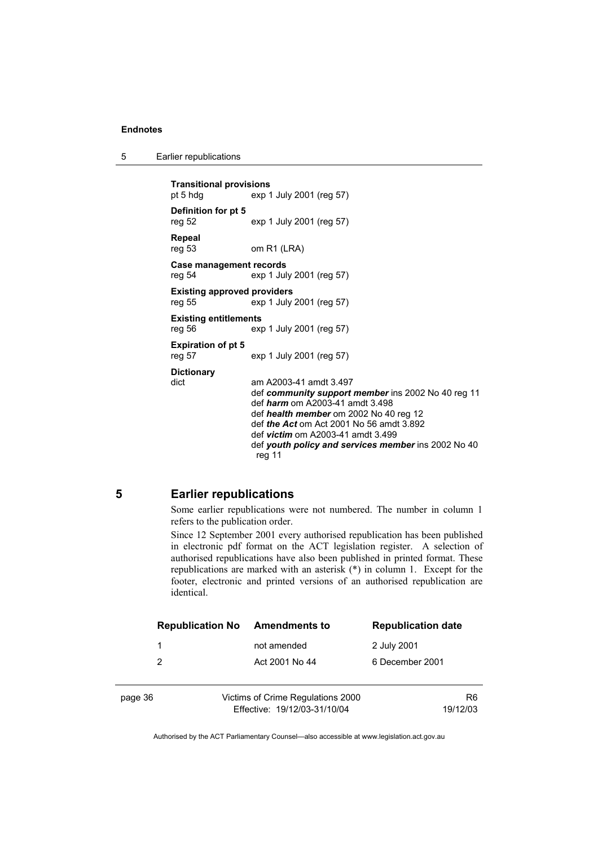5 Earlier republications

```
Transitional provisions 
pt 5 hdg exp 1 July 2001 (reg 57) 
Definition for pt 5 
reg 52 exp 1 July 2001 (reg 57) 
Repeal 
                 om R1 (LRA)
Case management records 
reg 54 exp 1 July 2001 (reg 57) 
Existing approved providers 
reg 55 exp 1 July 2001 (reg 57) 
Existing entitlements 
reg 56 exp 1 July 2001 (reg 57) 
Expiration of pt 5 
reg 57 exp 1 July 2001 (reg 57) 
Dictionary 
dict am A2003-41 amdt 3.497 
                  def community support member ins 2002 No 40 reg 11 
                  def harm om A2003-41 amdt 3.498 
                  def health member om 2002 No 40 reg 12 
                  def the Act om Act 2001 No 56 amdt 3.892 
                  def victim om A2003-41 amdt 3.499 
                  def youth policy and services member ins 2002 No 40 
                  reg 11
```
#### **5 Earlier republications**

Some earlier republications were not numbered. The number in column 1 refers to the publication order.

Since 12 September 2001 every authorised republication has been published in electronic pdf format on the ACT legislation register. A selection of authorised republications have also been published in printed format. These republications are marked with an asterisk (\*) in column 1. Except for the footer, electronic and printed versions of an authorised republication are identical.

|         | <b>Republication No</b> | <b>Amendments to</b>              | <b>Republication date</b> |
|---------|-------------------------|-----------------------------------|---------------------------|
|         | 1                       | not amended                       | 2 July 2001               |
|         | 2                       | Act 2001 No 44                    | 6 December 2001           |
|         |                         |                                   |                           |
| page 36 |                         | Victims of Crime Regulations 2000 | R <sub>6</sub>            |
|         |                         | Effective: 19/12/03-31/10/04      | 19/12/03                  |